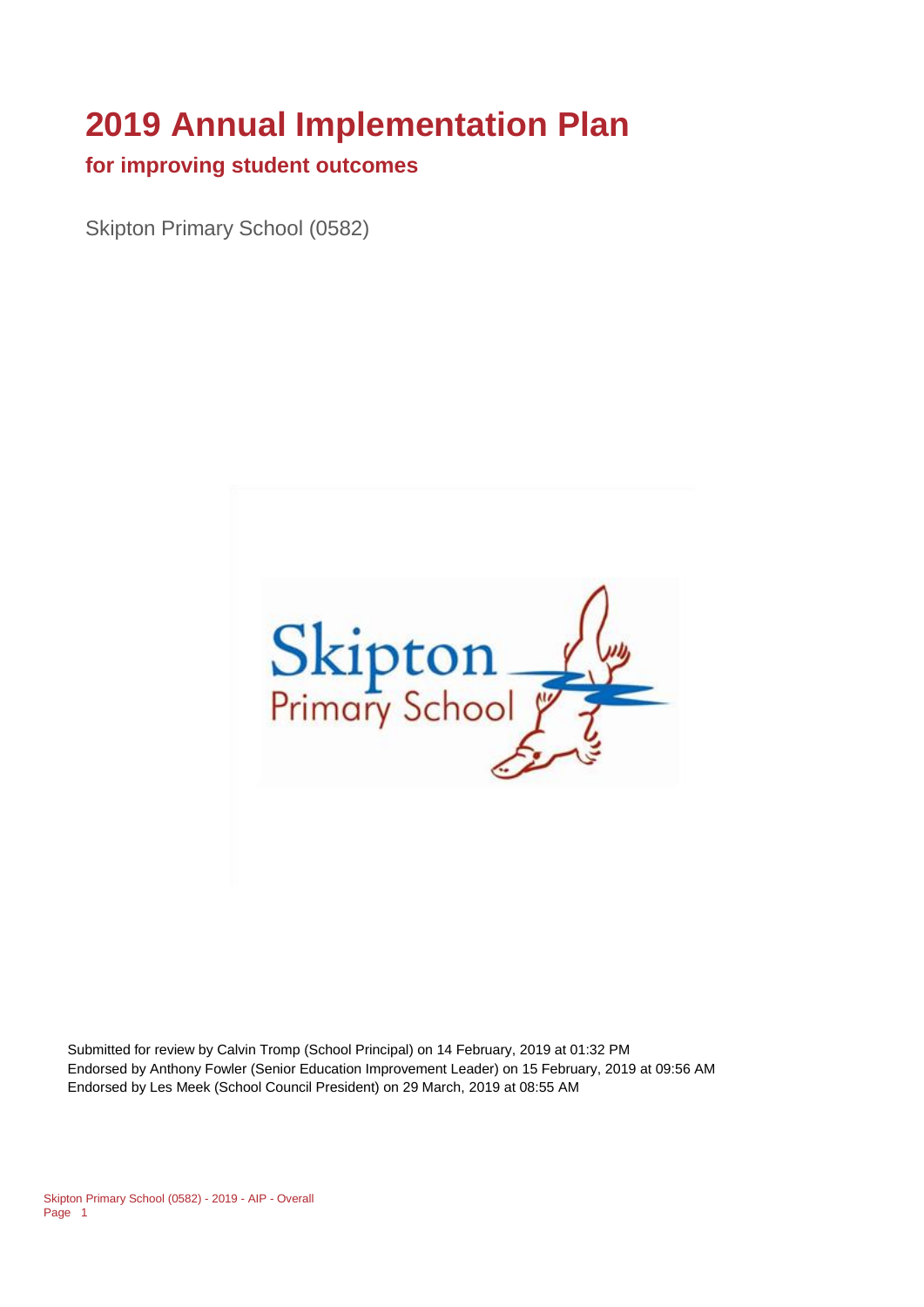# **2019 Annual Implementation Plan**

#### **for improving student outcomes**

Skipton Primary School (0582)



Submitted for review by Calvin Tromp (School Principal) on 14 February, 2019 at 01:32 PM Endorsed by Anthony Fowler (Senior Education Improvement Leader) on 15 February, 2019 at 09:56 AM Endorsed by Les Meek (School Council President) on 29 March, 2019 at 08:55 AM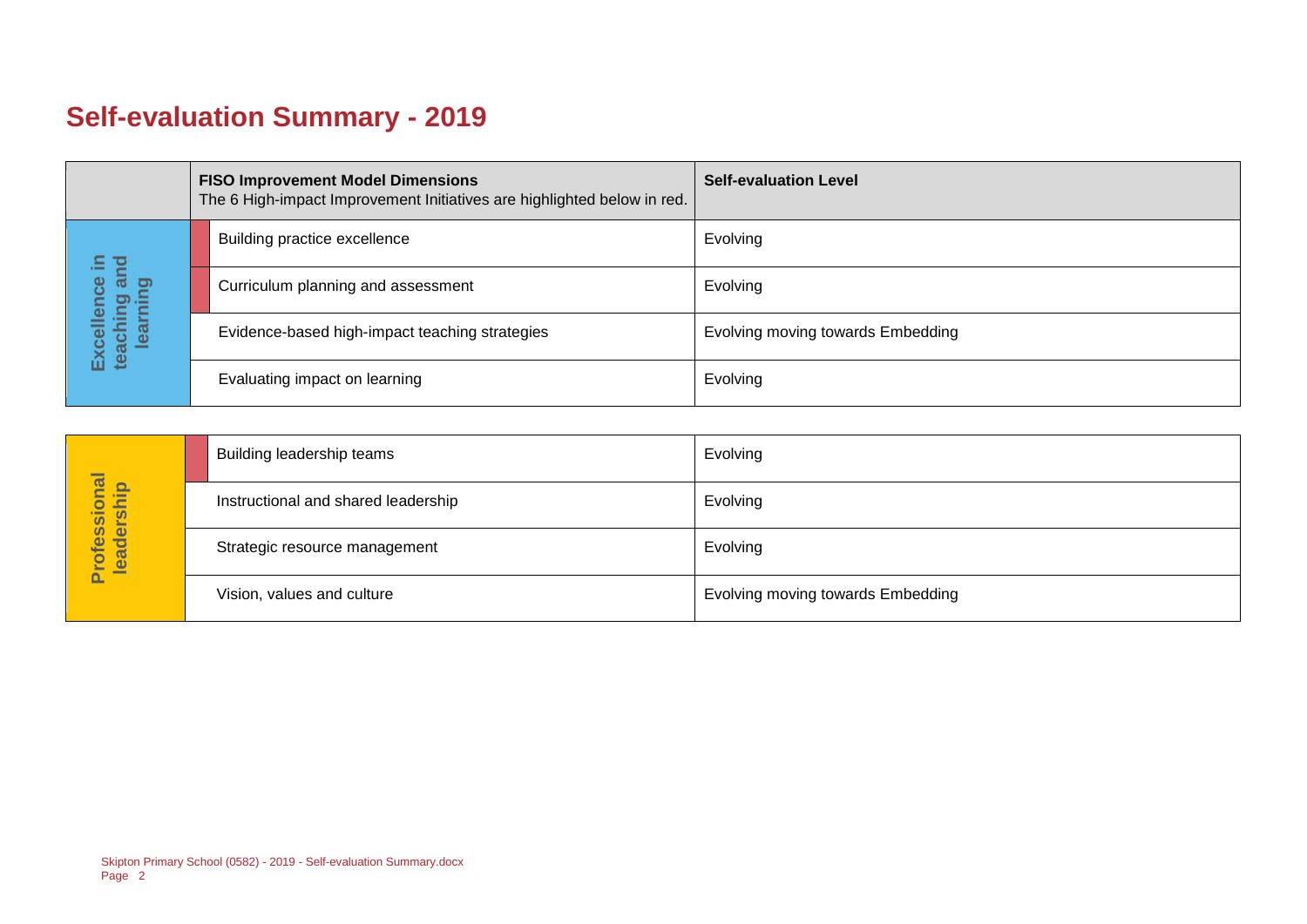## **Self-evaluation Summary - 2019**

|  |                                       | <b>FISO Improvement Model Dimensions</b><br>The 6 High-impact Improvement Initiatives are highlighted below in red. | <b>Self-evaluation Level</b>      |
|--|---------------------------------------|---------------------------------------------------------------------------------------------------------------------|-----------------------------------|
|  |                                       | Building practice excellence                                                                                        | Evolving                          |
|  | bure<br>and<br>lence                  | Curriculum planning and assessment                                                                                  | Evolving                          |
|  | Excellence<br>teaching ar<br>learning | Evidence-based high-impact teaching strategies                                                                      | Evolving moving towards Embedding |
|  |                                       | Evaluating impact on learning                                                                                       | Evolving                          |

|                            | Building leadership teams           | Evolving                          |
|----------------------------|-------------------------------------|-----------------------------------|
|                            | Instructional and shared leadership | Evolving                          |
| Professional<br>leadership | Strategic resource management       | Evolving                          |
|                            | Vision, values and culture          | Evolving moving towards Embedding |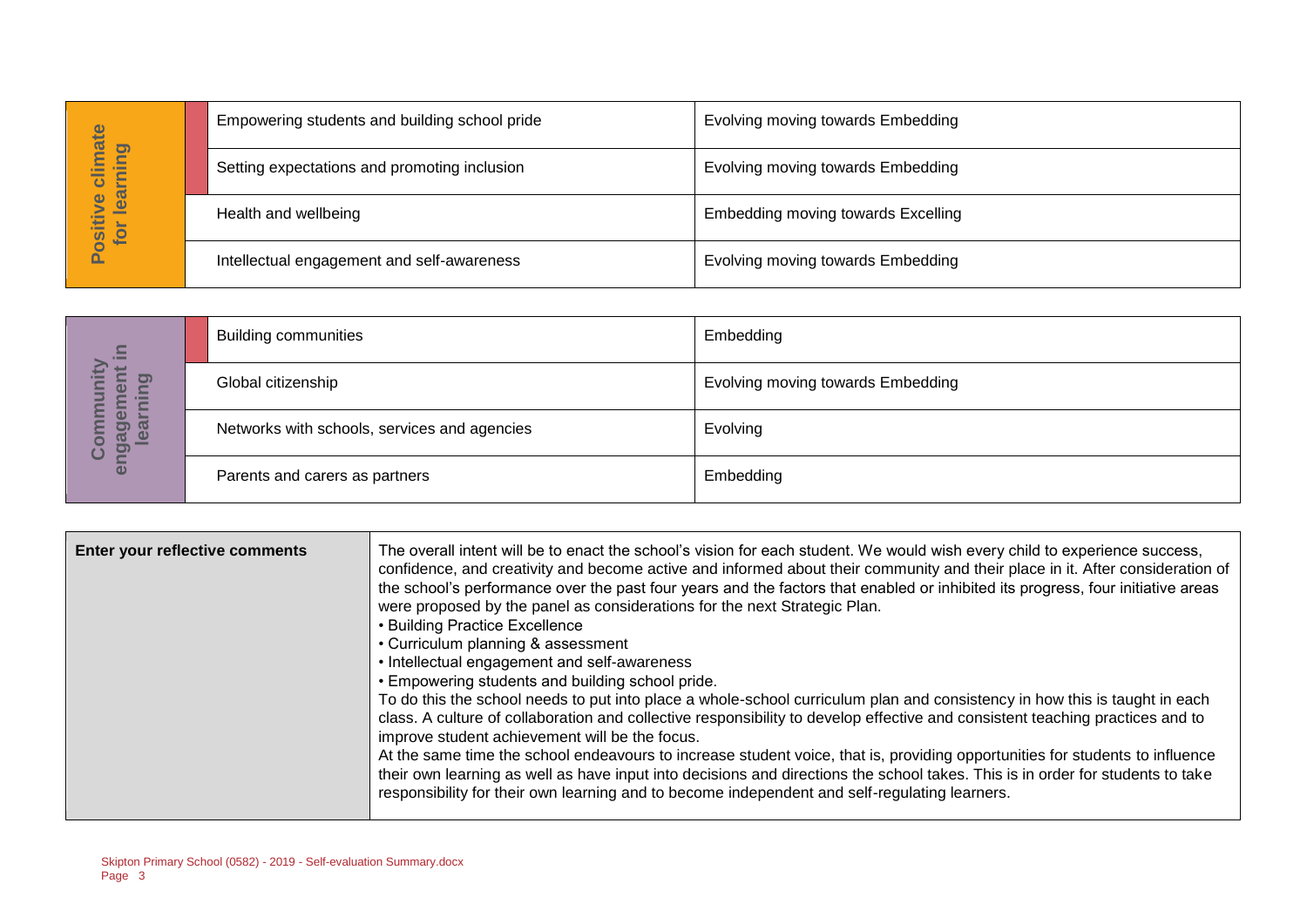| hate                                  | Empowering students and building school pride | Evolving moving towards Embedding  |
|---------------------------------------|-----------------------------------------------|------------------------------------|
| <b>pui</b><br>Ξ<br>-<br>$\equiv$<br>ပ | Setting expectations and promoting inclusion  | Evolving moving towards Embedding  |
| lear<br>ဖ<br>ositiv<br>tor            | Health and wellbeing                          | Embedding moving towards Excelling |
|                                       | Intellectual engagement and self-awareness    | Evolving moving towards Embedding  |

| $\Xi$                       | <b>Building communities</b>                  | Embedding                         |  |
|-----------------------------|----------------------------------------------|-----------------------------------|--|
| 0<br>$\omega$<br><u> 13</u> | Global citizenship                           | Evolving moving towards Embedding |  |
| ត<br><u>ം</u><br>enga<br>ပိ | Networks with schools, services and agencies | Evolving                          |  |
|                             | Parents and carers as partners               | Embedding                         |  |

|                                  | Empowering students and building school phae                        |                                                                                                                                                                                                                                                                                                         | EVOIVING MOVING towards Embedding                                                                                                                                                                                                                                                                                                                                                                                                                                                                                                                                                                                                                                                                                                                                                                                                                                                                                                                                                                                                |  |  |
|----------------------------------|---------------------------------------------------------------------|---------------------------------------------------------------------------------------------------------------------------------------------------------------------------------------------------------------------------------------------------------------------------------------------------------|----------------------------------------------------------------------------------------------------------------------------------------------------------------------------------------------------------------------------------------------------------------------------------------------------------------------------------------------------------------------------------------------------------------------------------------------------------------------------------------------------------------------------------------------------------------------------------------------------------------------------------------------------------------------------------------------------------------------------------------------------------------------------------------------------------------------------------------------------------------------------------------------------------------------------------------------------------------------------------------------------------------------------------|--|--|
| Positive climate<br>for learning |                                                                     | Setting expectations and promoting inclusion                                                                                                                                                                                                                                                            | Evolving moving towards Embedding                                                                                                                                                                                                                                                                                                                                                                                                                                                                                                                                                                                                                                                                                                                                                                                                                                                                                                                                                                                                |  |  |
|                                  | Health and wellbeing                                                |                                                                                                                                                                                                                                                                                                         | <b>Embedding moving towards Excelling</b>                                                                                                                                                                                                                                                                                                                                                                                                                                                                                                                                                                                                                                                                                                                                                                                                                                                                                                                                                                                        |  |  |
|                                  |                                                                     | Intellectual engagement and self-awareness                                                                                                                                                                                                                                                              | Evolving moving towards Embedding                                                                                                                                                                                                                                                                                                                                                                                                                                                                                                                                                                                                                                                                                                                                                                                                                                                                                                                                                                                                |  |  |
|                                  |                                                                     |                                                                                                                                                                                                                                                                                                         |                                                                                                                                                                                                                                                                                                                                                                                                                                                                                                                                                                                                                                                                                                                                                                                                                                                                                                                                                                                                                                  |  |  |
|                                  | <b>Building communities</b>                                         |                                                                                                                                                                                                                                                                                                         | Embedding                                                                                                                                                                                                                                                                                                                                                                                                                                                                                                                                                                                                                                                                                                                                                                                                                                                                                                                                                                                                                        |  |  |
| learning                         | Global citizenship                                                  |                                                                                                                                                                                                                                                                                                         | Evolving moving towards Embedding                                                                                                                                                                                                                                                                                                                                                                                                                                                                                                                                                                                                                                                                                                                                                                                                                                                                                                                                                                                                |  |  |
| engagement in<br>Community       |                                                                     | Networks with schools, services and agencies                                                                                                                                                                                                                                                            | Evolving                                                                                                                                                                                                                                                                                                                                                                                                                                                                                                                                                                                                                                                                                                                                                                                                                                                                                                                                                                                                                         |  |  |
|                                  | Parents and carers as partners                                      |                                                                                                                                                                                                                                                                                                         | Embedding                                                                                                                                                                                                                                                                                                                                                                                                                                                                                                                                                                                                                                                                                                                                                                                                                                                                                                                                                                                                                        |  |  |
|                                  |                                                                     |                                                                                                                                                                                                                                                                                                         |                                                                                                                                                                                                                                                                                                                                                                                                                                                                                                                                                                                                                                                                                                                                                                                                                                                                                                                                                                                                                                  |  |  |
| Enter your reflective comments   |                                                                     | were proposed by the panel as considerations for the next Strategic Plan.<br>• Building Practice Excellence<br>• Curriculum planning & assessment<br>• Intellectual engagement and self-awareness<br>• Empowering students and building school pride.<br>improve student achievement will be the focus. | The overall intent will be to enact the school's vision for each student. We would wish every child to experience success,<br>confidence, and creativity and become active and informed about their community and their place in it. After consideration of<br>the school's performance over the past four years and the factors that enabled or inhibited its progress, four initiative areas<br>To do this the school needs to put into place a whole-school curriculum plan and consistency in how this is taught in each<br>class. A culture of collaboration and collective responsibility to develop effective and consistent teaching practices and to<br>At the same time the school endeavours to increase student voice, that is, providing opportunities for students to influence<br>their own learning as well as have input into decisions and directions the school takes. This is in order for students to take<br>responsibility for their own learning and to become independent and self-regulating learners. |  |  |
| Page 3                           | Skipton Primary School (0582) - 2019 - Self-evaluation Summary.docx |                                                                                                                                                                                                                                                                                                         |                                                                                                                                                                                                                                                                                                                                                                                                                                                                                                                                                                                                                                                                                                                                                                                                                                                                                                                                                                                                                                  |  |  |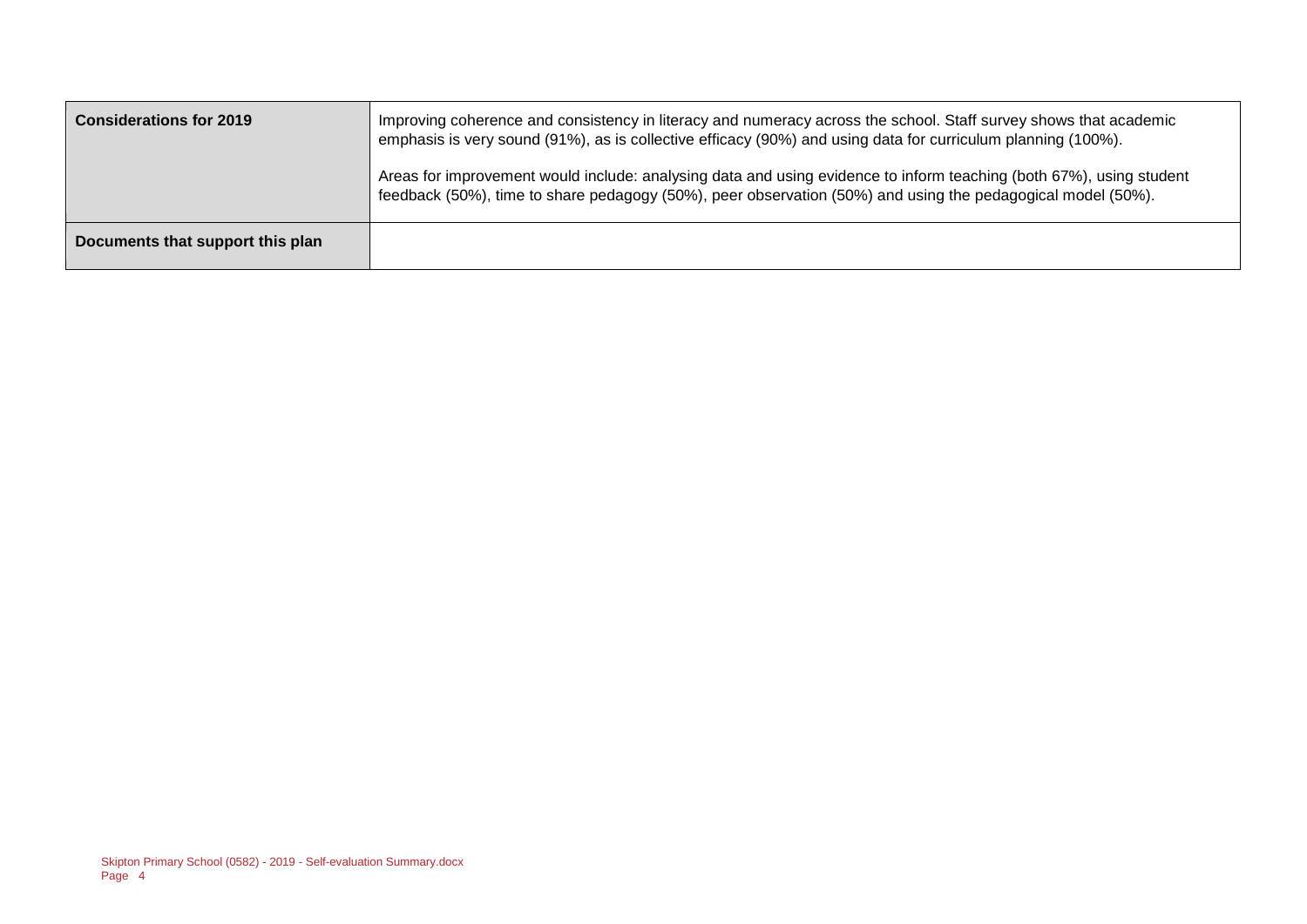| <b>Considerations for 2019</b>   | Improving coherence and consistency in literacy and numeracy across the school. Staff survey shows that academic<br>emphasis is very sound (91%), as is collective efficacy (90%) and using data for curriculum planning (100%).<br>Areas for improvement would include: analysing data and using evidence to inform teaching (both 67%), using student<br>feedback (50%), time to share pedagogy (50%), peer observation (50%) and using the pedagogical model (50%). |  |
|----------------------------------|------------------------------------------------------------------------------------------------------------------------------------------------------------------------------------------------------------------------------------------------------------------------------------------------------------------------------------------------------------------------------------------------------------------------------------------------------------------------|--|
| Documents that support this plan |                                                                                                                                                                                                                                                                                                                                                                                                                                                                        |  |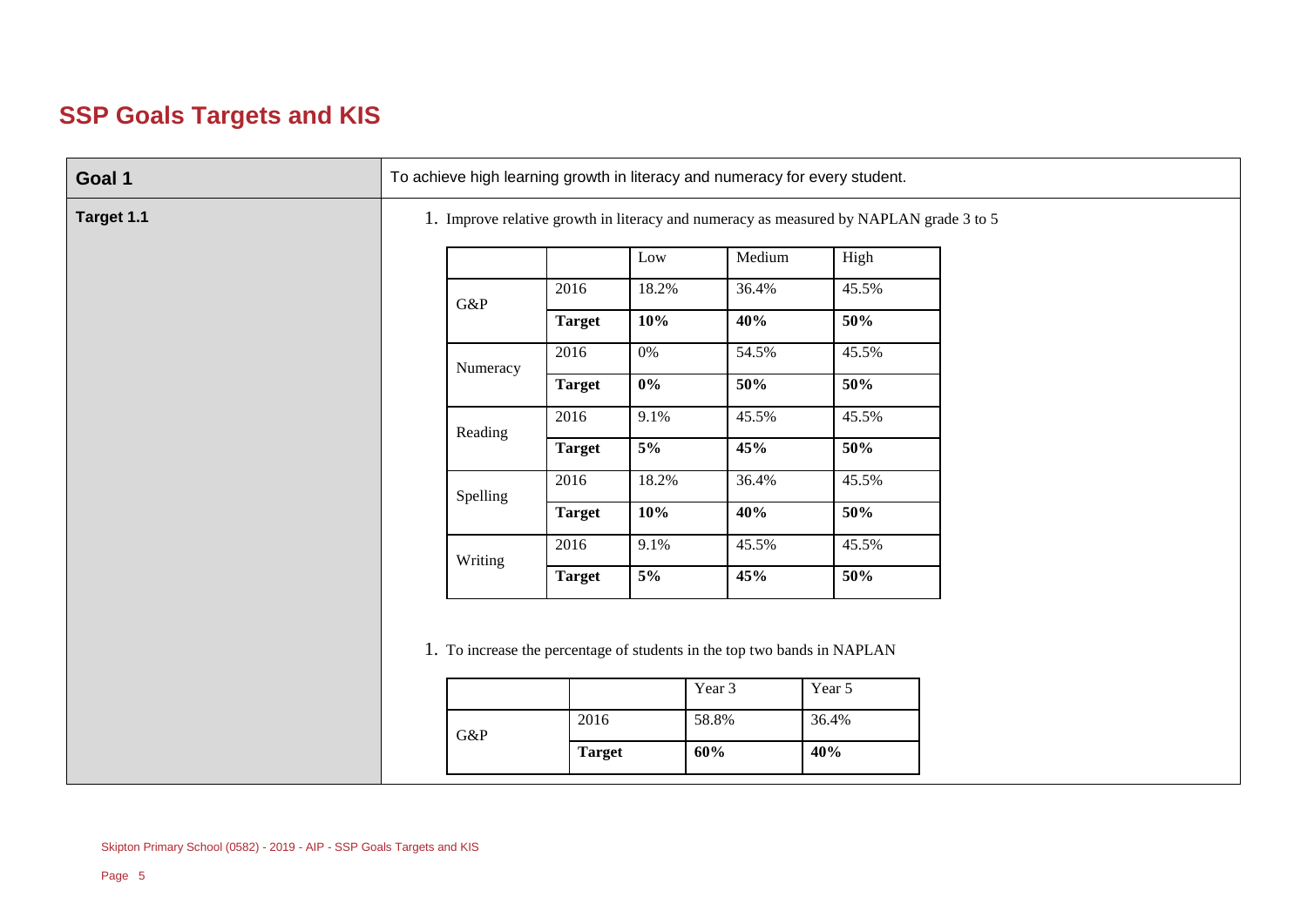### **SSP Goals Targets and KIS**

| Goal 1     | To achieve high learning growth in literacy and numeracy for every student.            |               |                  |        |        |  |
|------------|----------------------------------------------------------------------------------------|---------------|------------------|--------|--------|--|
| Target 1.1 | 1. Improve relative growth in literacy and numeracy as measured by NAPLAN grade 3 to 5 |               |                  |        |        |  |
|            |                                                                                        |               | Low              | Medium | High   |  |
|            | G&P                                                                                    | 2016          | 18.2%            | 36.4%  | 45.5%  |  |
|            |                                                                                        | <b>Target</b> | 10%              | 40%    | 50%    |  |
|            | Numeracy                                                                               | 2016          | $0\%$            | 54.5%  | 45.5%  |  |
|            |                                                                                        | <b>Target</b> | $\overline{0\%}$ | 50%    | 50%    |  |
|            | Reading                                                                                | 2016          | 9.1%             | 45.5%  | 45.5%  |  |
|            |                                                                                        | <b>Target</b> | 5%               | 45%    | 50%    |  |
|            | Spelling                                                                               | 2016          | 18.2%            | 36.4%  | 45.5%  |  |
|            |                                                                                        | <b>Target</b> | 10%              | 40%    | 50%    |  |
|            | Writing                                                                                | 2016          | 9.1%             | 45.5%  | 45.5%  |  |
|            |                                                                                        | <b>Target</b> | $5\%$            | 45%    | 50%    |  |
|            | 1. To increase the percentage of students in the top two bands in NAPLAN               |               |                  | Year 3 | Year 5 |  |
|            |                                                                                        | 2016          |                  | 58.8%  | 36.4%  |  |
|            | G&P                                                                                    | <b>Target</b> |                  | 60%    | 40%    |  |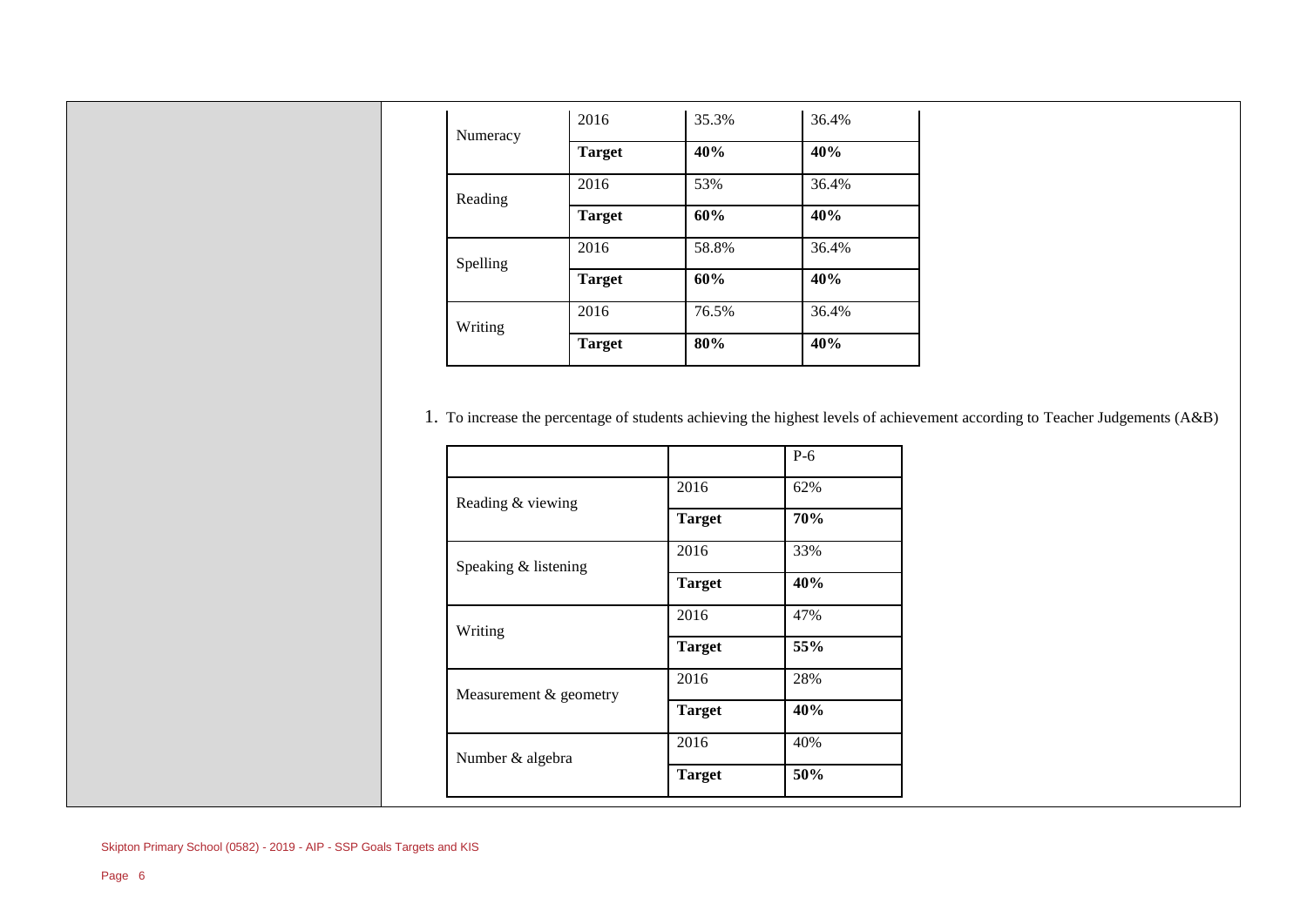| Numeracy | 2016          | 35.3% | 36.4% |
|----------|---------------|-------|-------|
|          | <b>Target</b> | 40%   | 40%   |
| Reading  | 2016          | 53%   | 36.4% |
|          | <b>Target</b> | 60%   | 40%   |
| Spelling | 2016          | 58.8% | 36.4% |
|          | <b>Target</b> | 60%   | 40%   |
| Writing  | 2016          | 76.5% | 36.4% |
|          | <b>Target</b> | 80%   | 40%   |

1. To increase the percentage of students achieving the highest levels of achievement according to Teacher Judgements (A&B)

|                        |               | $P-6$ |
|------------------------|---------------|-------|
| Reading & viewing      | 2016          | 62%   |
|                        | <b>Target</b> | 70%   |
| Speaking & listening   | 2016          | 33%   |
|                        | <b>Target</b> | 40%   |
| Writing                | 2016          | 47%   |
|                        | <b>Target</b> | 55%   |
| Measurement & geometry | 2016          | 28%   |
|                        | <b>Target</b> | 40%   |
| Number & algebra       | 2016          | 40%   |
|                        | <b>Target</b> | 50%   |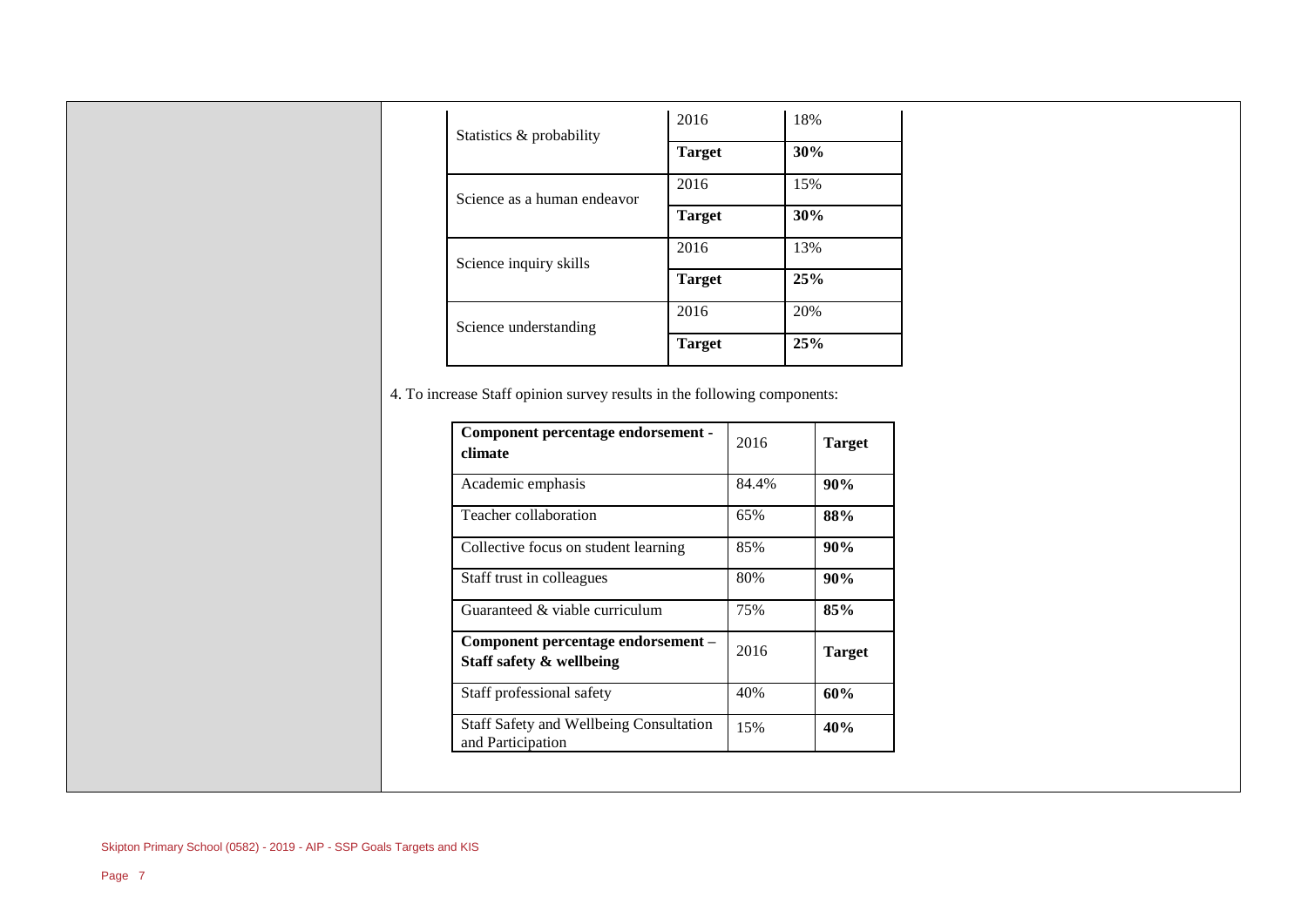| Statistics & probability    | 2016          | 18% |
|-----------------------------|---------------|-----|
|                             | <b>Target</b> | 30% |
| Science as a human endeavor | 2016          | 15% |
|                             | <b>Target</b> | 30% |
| Science inquiry skills      | 2016          | 13% |
|                             | <b>Target</b> | 25% |
| Science understanding       | 2016          | 20% |
|                             | <b>Target</b> | 25% |

4. To increase Staff opinion survey results in the following components:

| Component percentage endorsement -<br>climate                       | 2016  | <b>Target</b> |
|---------------------------------------------------------------------|-------|---------------|
| Academic emphasis                                                   | 84.4% | 90%           |
| Teacher collaboration                                               | 65%   | 88%           |
| Collective focus on student learning                                | 85%   | 90%           |
| Staff trust in colleagues                                           | 80%   | 90%           |
| Guaranteed & viable curriculum                                      | 75%   | 85%           |
| Component percentage endorsement –<br>Staff safety & wellbeing      | 2016  | Target        |
| Staff professional safety                                           | 40%   | 60%           |
| <b>Staff Safety and Wellbeing Consultation</b><br>and Participation | 15%   | 40%           |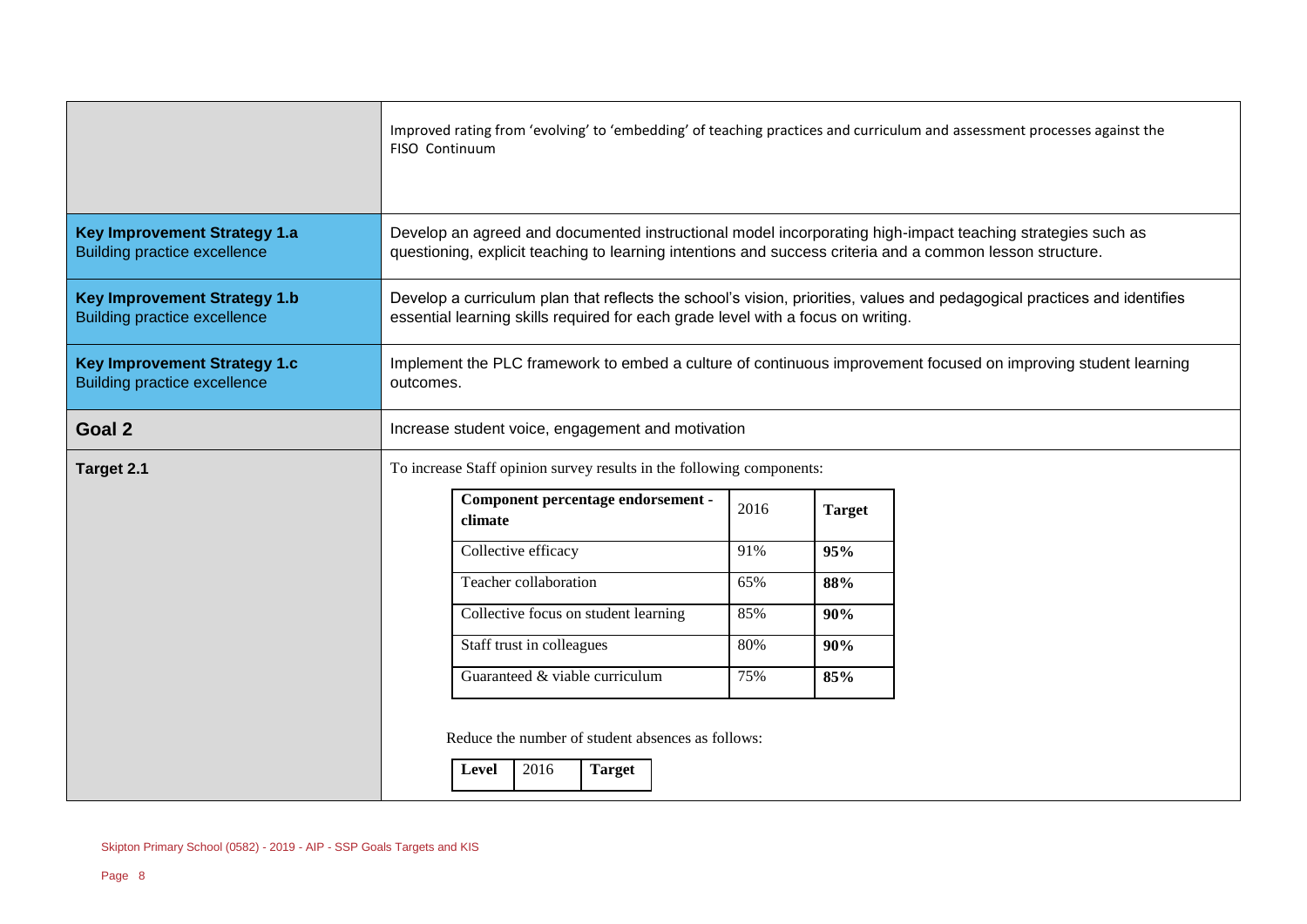|                                                                            | Improved rating from 'evolving' to 'embedding' of teaching practices and curriculum and assessment processes against the<br>FISO Continuum                                                                              |      |               |  |  |
|----------------------------------------------------------------------------|-------------------------------------------------------------------------------------------------------------------------------------------------------------------------------------------------------------------------|------|---------------|--|--|
| <b>Key Improvement Strategy 1.a</b><br><b>Building practice excellence</b> | Develop an agreed and documented instructional model incorporating high-impact teaching strategies such as<br>questioning, explicit teaching to learning intentions and success criteria and a common lesson structure. |      |               |  |  |
| <b>Key Improvement Strategy 1.b</b><br><b>Building practice excellence</b> | Develop a curriculum plan that reflects the school's vision, priorities, values and pedagogical practices and identifies<br>essential learning skills required for each grade level with a focus on writing.            |      |               |  |  |
| <b>Key Improvement Strategy 1.c</b><br><b>Building practice excellence</b> | Implement the PLC framework to embed a culture of continuous improvement focused on improving student learning<br>outcomes.                                                                                             |      |               |  |  |
| Goal 2                                                                     | Increase student voice, engagement and motivation                                                                                                                                                                       |      |               |  |  |
| Target 2.1                                                                 | To increase Staff opinion survey results in the following components:                                                                                                                                                   |      |               |  |  |
|                                                                            | Component percentage endorsement -<br>climate                                                                                                                                                                           | 2016 | <b>Target</b> |  |  |
|                                                                            | Collective efficacy                                                                                                                                                                                                     | 91%  | 95%           |  |  |
|                                                                            | Teacher collaboration                                                                                                                                                                                                   | 65%  | 88%           |  |  |
|                                                                            | Collective focus on student learning                                                                                                                                                                                    | 85%  | 90%           |  |  |
|                                                                            | Staff trust in colleagues                                                                                                                                                                                               | 80%  | 90%           |  |  |
|                                                                            | Guaranteed & viable curriculum                                                                                                                                                                                          | 75%  | 85%           |  |  |
|                                                                            | Reduce the number of student absences as follows:<br>Level<br>2016<br><b>Target</b>                                                                                                                                     |      |               |  |  |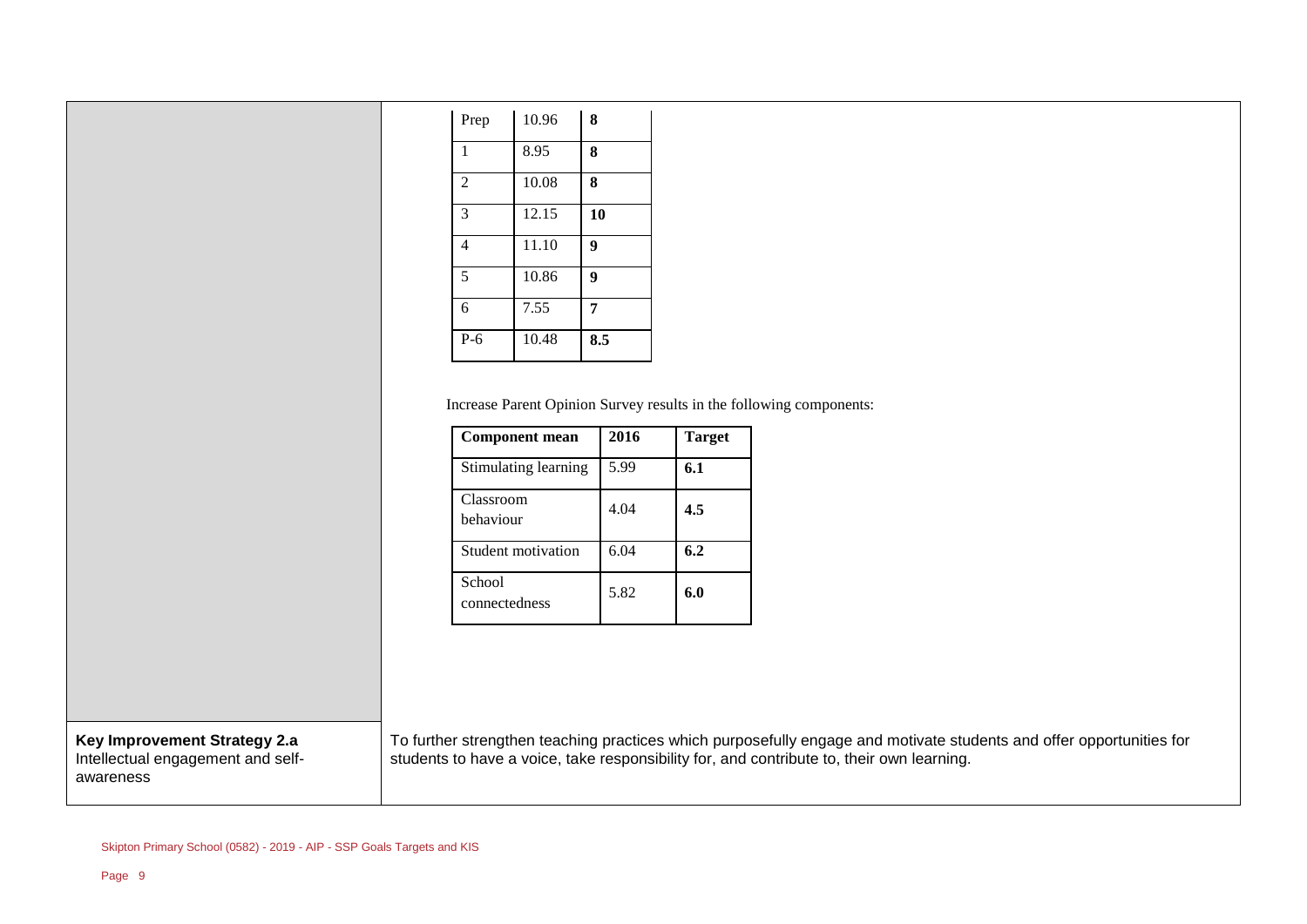| Prep           | 10.96 | 8   |
|----------------|-------|-----|
| 1              | 8.95  | 8   |
| $\overline{2}$ | 10.08 | 8   |
| 3              | 12.15 | 10  |
| 4              | 11.10 | 9   |
| 5              | 10.86 | 9   |
| 6              | 7.55  | 7   |
| $P-6$          | 10.48 | 8.5 |

Increase Parent Opinion Survey results in the following components:

| <b>Component mean</b>   | 2016 | <b>Target</b> |
|-------------------------|------|---------------|
| Stimulating learning    | 5.99 | 6.1           |
| Classroom<br>behaviour  | 4.04 | 4.5           |
| Student motivation      | 6.04 | 6.2           |
| School<br>connectedness | 5.82 | 6.0           |

**Key Improvement Strategy 2.a** Intellectual engagement and selfawareness

To further strengthen teaching practices which purposefully engage and motivate students and offer opportunities for students to have a voice, take responsibility for, and contribute to, their own learning.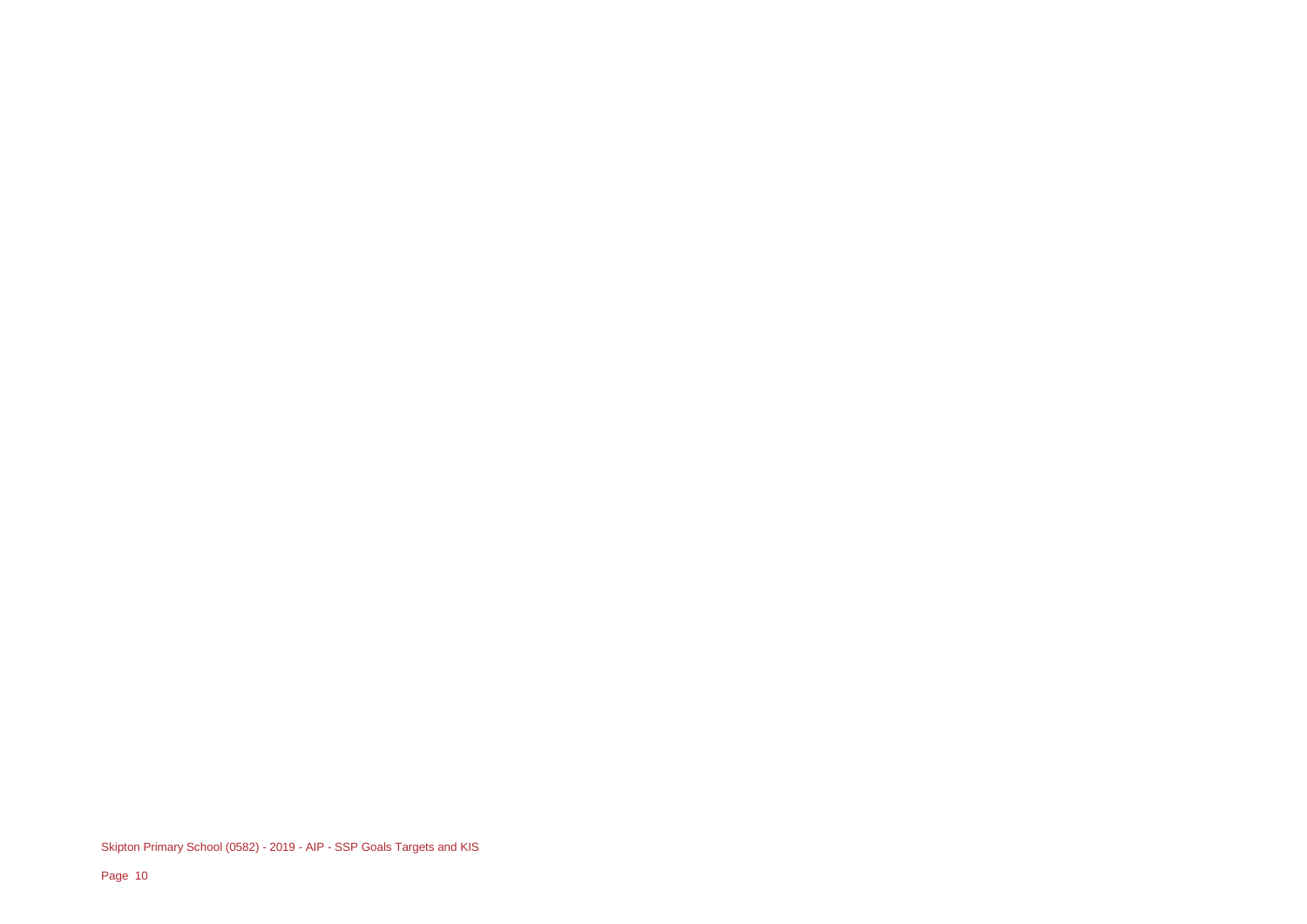Skipton Primary School (0582) - 2019 - AIP - SSP Goals Targets and KIS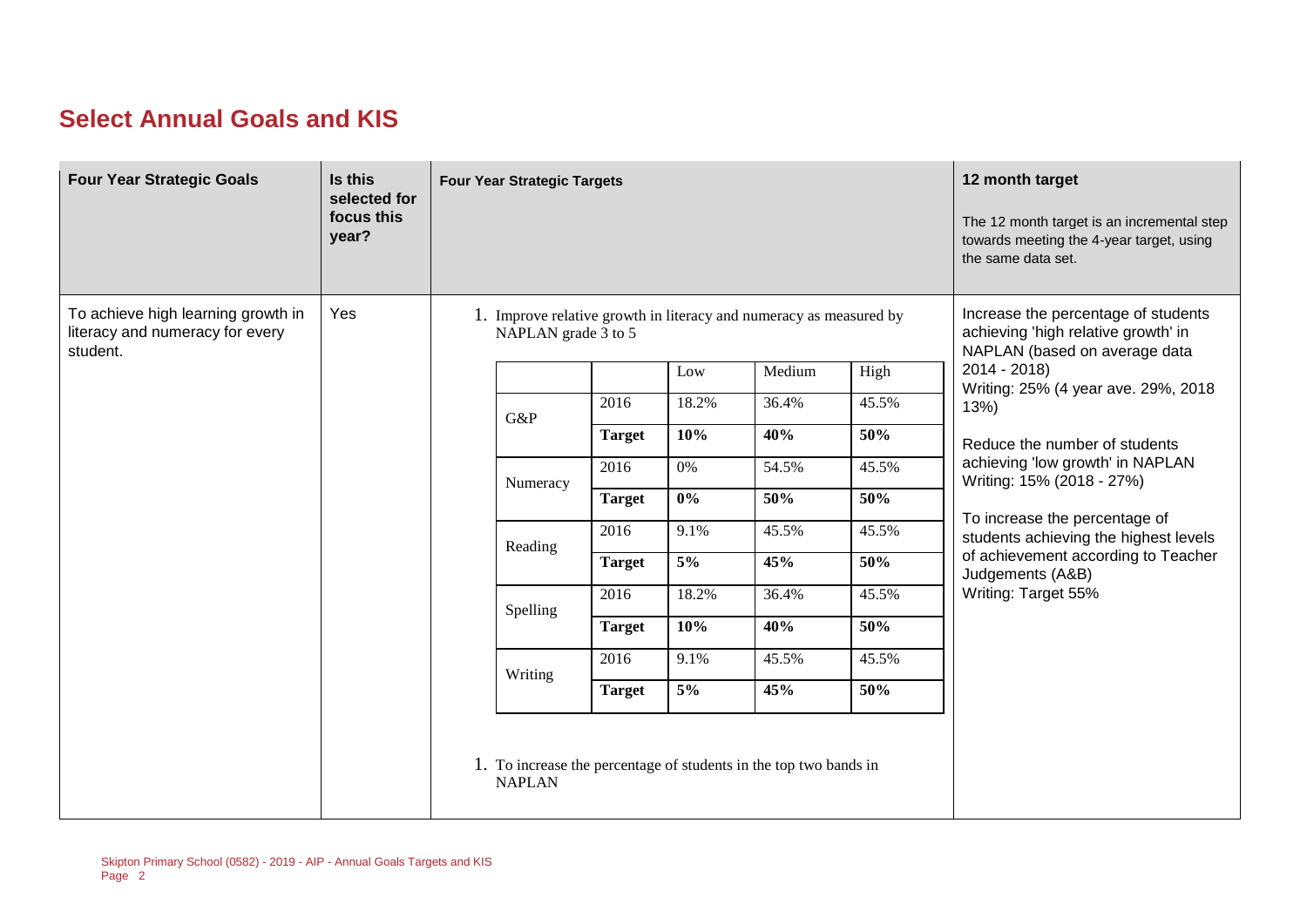#### **Select Annual Goals and KIS**

| <b>Four Year Strategic Goals</b>                                                  | Is this<br>selected for<br>focus this<br>year? | <b>Four Year Strategic Targets</b>                                                        |               | 12 month target<br>The 12 month target is an incremental step<br>towards meeting the 4-year target, using<br>the same data set. |        |          |                                                                                                             |     |     |     |  |
|-----------------------------------------------------------------------------------|------------------------------------------------|-------------------------------------------------------------------------------------------|---------------|---------------------------------------------------------------------------------------------------------------------------------|--------|----------|-------------------------------------------------------------------------------------------------------------|-----|-----|-----|--|
| To achieve high learning growth in<br>literacy and numeracy for every<br>student. | Yes                                            | 1. Improve relative growth in literacy and numeracy as measured by<br>NAPLAN grade 3 to 5 |               |                                                                                                                                 |        |          | Increase the percentage of students<br>achieving 'high relative growth' in<br>NAPLAN (based on average data |     |     |     |  |
|                                                                                   |                                                |                                                                                           |               | Low                                                                                                                             | Medium | High     | $2014 - 2018$                                                                                               |     |     |     |  |
|                                                                                   |                                                | G&P                                                                                       | 2016          | 18.2%                                                                                                                           | 36.4%  | 45.5%    | Writing: 25% (4 year ave. 29%, 2018<br>13%                                                                  |     |     |     |  |
|                                                                                   |                                                |                                                                                           | <b>Target</b> | 10%                                                                                                                             | 40%    | 50%      | Reduce the number of students                                                                               |     |     |     |  |
|                                                                                   |                                                | Numeracy                                                                                  | 2016          | 0%                                                                                                                              | 54.5%  | 45.5%    | achieving 'low growth' in NAPLAN<br>Writing: 15% (2018 - 27%)                                               |     |     |     |  |
|                                                                                   |                                                |                                                                                           | <b>Target</b> | $0\%$                                                                                                                           | 50%    | 50%      |                                                                                                             |     |     |     |  |
|                                                                                   |                                                |                                                                                           | 2016          | 9.1%                                                                                                                            | 45.5%  | 45.5%    | To increase the percentage of<br>students achieving the highest levels                                      |     |     |     |  |
|                                                                                   |                                                | Reading                                                                                   | <b>Target</b> | 5%                                                                                                                              | 45%    | 50%      | of achievement according to Teacher<br>Judgements (A&B)                                                     |     |     |     |  |
|                                                                                   |                                                |                                                                                           | 2016          | 18.2%                                                                                                                           | 36.4%  | 45.5%    | Writing: Target 55%                                                                                         |     |     |     |  |
|                                                                                   |                                                |                                                                                           |               |                                                                                                                                 |        | Spelling | <b>Target</b>                                                                                               | 10% | 40% | 50% |  |
|                                                                                   |                                                |                                                                                           | 2016          | 9.1%                                                                                                                            | 45.5%  | 45.5%    |                                                                                                             |     |     |     |  |
|                                                                                   |                                                | Writing                                                                                   | <b>Target</b> | $5\%$                                                                                                                           | 45%    | 50%      |                                                                                                             |     |     |     |  |
|                                                                                   |                                                | 1. To increase the percentage of students in the top two bands in<br><b>NAPLAN</b>        |               |                                                                                                                                 |        |          |                                                                                                             |     |     |     |  |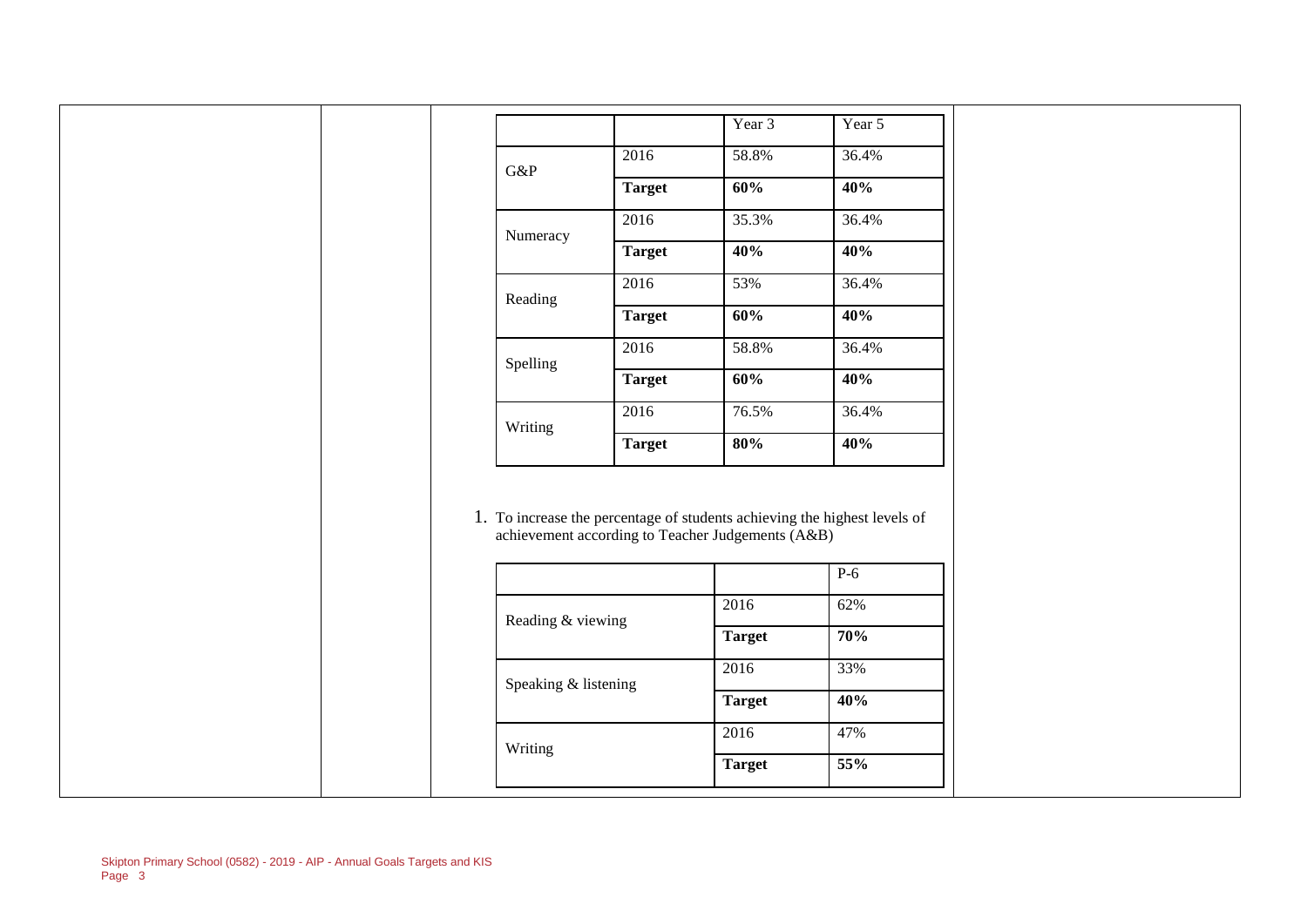|                      |                                                   | Year 3        | Year 5                                                                             |  |
|----------------------|---------------------------------------------------|---------------|------------------------------------------------------------------------------------|--|
| $G\&P$               | 2016                                              | 58.8%         | 36.4%                                                                              |  |
|                      | <b>Target</b>                                     | 60%           | 40%                                                                                |  |
| Numeracy             | 2016                                              | 35.3%         | 36.4%                                                                              |  |
|                      | <b>Target</b>                                     | 40%           | 40%                                                                                |  |
| Reading              | 2016                                              | 53%           | 36.4%                                                                              |  |
|                      | <b>Target</b>                                     | 60%           | 40%                                                                                |  |
| Spelling             | 2016                                              | 58.8%         | 36.4%                                                                              |  |
|                      | <b>Target</b>                                     | 60%           | 40%                                                                                |  |
|                      | 2016                                              | 76.5%         | 36.4%                                                                              |  |
|                      |                                                   |               |                                                                                    |  |
| Writing              | <b>Target</b>                                     | 80%           | 40%                                                                                |  |
|                      | achievement according to Teacher Judgements (A&B) |               | 1. To increase the percentage of students achieving the highest levels of<br>$P-6$ |  |
|                      |                                                   | 2016          | 62%                                                                                |  |
| Reading & viewing    |                                                   | <b>Target</b> | 70%                                                                                |  |
|                      |                                                   | 2016          | 33%                                                                                |  |
| Speaking & listening |                                                   | <b>Target</b> | 40%                                                                                |  |
| Writing              |                                                   | 2016          | 47%                                                                                |  |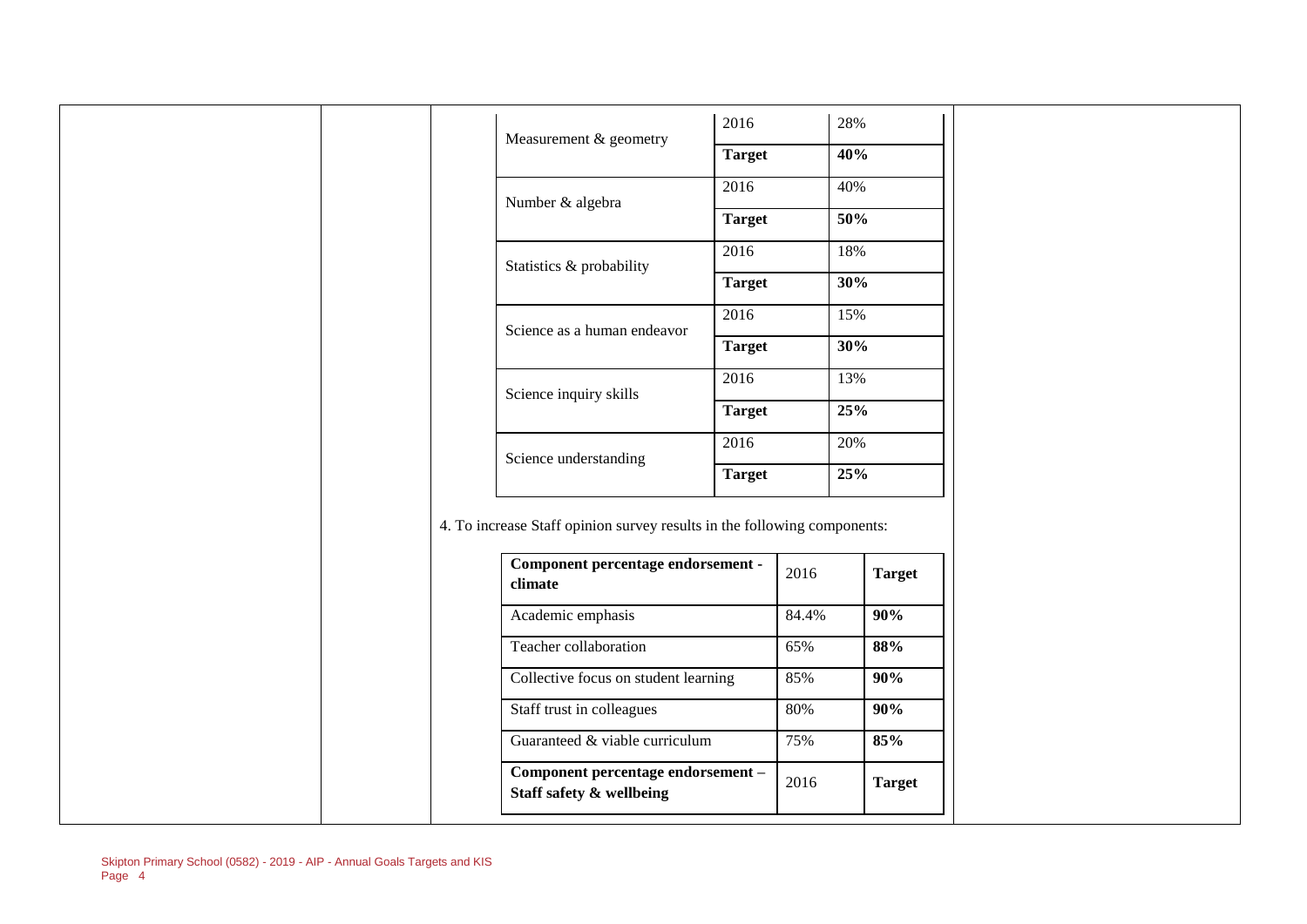|  |  | Measurement & geometry                                                                   | 2016          |       | 28%           |  |  |
|--|--|------------------------------------------------------------------------------------------|---------------|-------|---------------|--|--|
|  |  |                                                                                          | <b>Target</b> |       | 40%           |  |  |
|  |  | Number & algebra                                                                         | 2016<br>40%   |       |               |  |  |
|  |  |                                                                                          | <b>Target</b> |       | 50%           |  |  |
|  |  | 2016<br>Statistics & probability<br><b>Target</b><br>2016<br>Science as a human endeavor |               |       | 18%           |  |  |
|  |  |                                                                                          |               |       | 30%           |  |  |
|  |  |                                                                                          |               |       | 15%           |  |  |
|  |  |                                                                                          | <b>Target</b> |       | 30%           |  |  |
|  |  | Science inquiry skills                                                                   | 2016          |       | 13%           |  |  |
|  |  |                                                                                          | <b>Target</b> | 25%   |               |  |  |
|  |  | Science understanding                                                                    | 2016<br>20%   |       |               |  |  |
|  |  |                                                                                          | <b>Target</b> | 25%   |               |  |  |
|  |  | 4. To increase Staff opinion survey results in the following components:                 |               |       |               |  |  |
|  |  |                                                                                          |               |       |               |  |  |
|  |  | Component percentage endorsement -<br>climate                                            |               | 2016  | <b>Target</b> |  |  |
|  |  | Academic emphasis                                                                        |               | 84.4% | 90%           |  |  |
|  |  | Teacher collaboration                                                                    |               | 65%   | 88%           |  |  |
|  |  | Collective focus on student learning                                                     |               | 85%   | 90%           |  |  |
|  |  | Staff trust in colleagues                                                                |               | 80%   | 90%           |  |  |
|  |  | Guaranteed & viable curriculum                                                           |               | 75%   | 85%           |  |  |
|  |  | Component percentage endorsement -                                                       |               |       |               |  |  |
|  |  | Staff safety & wellbeing                                                                 |               | 2016  | <b>Target</b> |  |  |
|  |  |                                                                                          |               |       |               |  |  |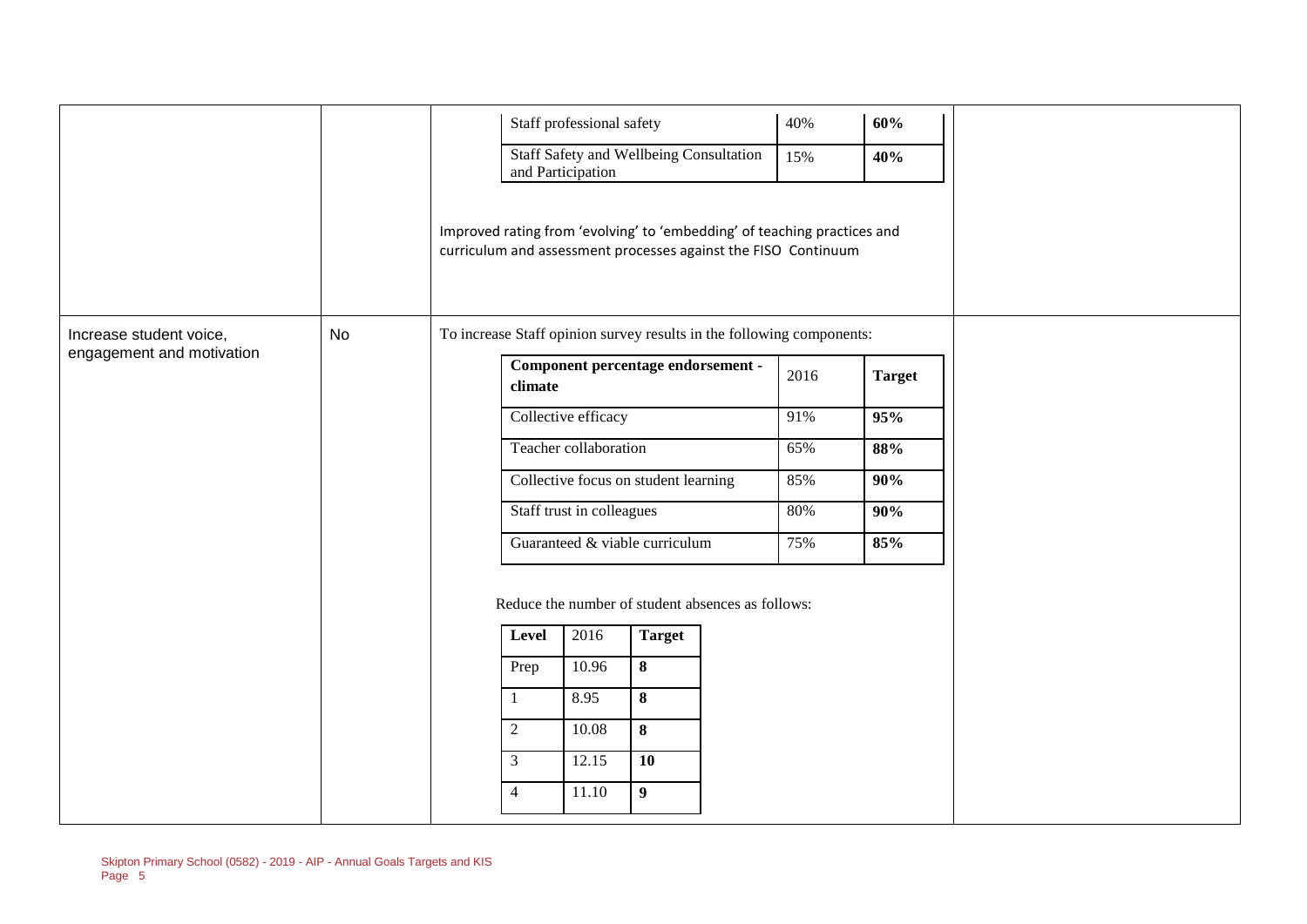|                           |           |                                                                                                                        | Staff professional safety<br>and Participation   | Staff Safety and Wellbeing Consultation                                                                                                    |  | 40%<br>15% | 60%<br>40%    |  |
|---------------------------|-----------|------------------------------------------------------------------------------------------------------------------------|--------------------------------------------------|--------------------------------------------------------------------------------------------------------------------------------------------|--|------------|---------------|--|
| Increase student voice,   | <b>No</b> |                                                                                                                        |                                                  | Improved rating from 'evolving' to 'embedding' of teaching practices and<br>curriculum and assessment processes against the FISO Continuum |  |            |               |  |
| engagement and motivation |           | To increase Staff opinion survey results in the following components:<br>Component percentage endorsement -<br>climate |                                                  |                                                                                                                                            |  | 2016       | <b>Target</b> |  |
|                           |           | Collective efficacy<br>91%<br>95%                                                                                      |                                                  |                                                                                                                                            |  |            |               |  |
|                           |           | Teacher collaboration<br>65%                                                                                           |                                                  |                                                                                                                                            |  |            | 88%           |  |
|                           |           | 85%<br>Collective focus on student learning<br>90%                                                                     |                                                  |                                                                                                                                            |  |            |               |  |
|                           |           |                                                                                                                        | Staff trust in colleagues                        |                                                                                                                                            |  | 80%        | 90%           |  |
|                           |           |                                                                                                                        |                                                  | Guaranteed & viable curriculum                                                                                                             |  | 75%        | 85%           |  |
|                           |           | Level<br>Prep<br>$\mathbf{1}$<br>$\overline{2}$<br>3<br>4                                                              | 2016<br>10.96<br>8.95<br>10.08<br>12.15<br>11.10 | Reduce the number of student absences as follows:<br><b>Target</b><br>8<br>8<br>8<br>$\overline{10}$<br>9 <sup>1</sup>                     |  |            |               |  |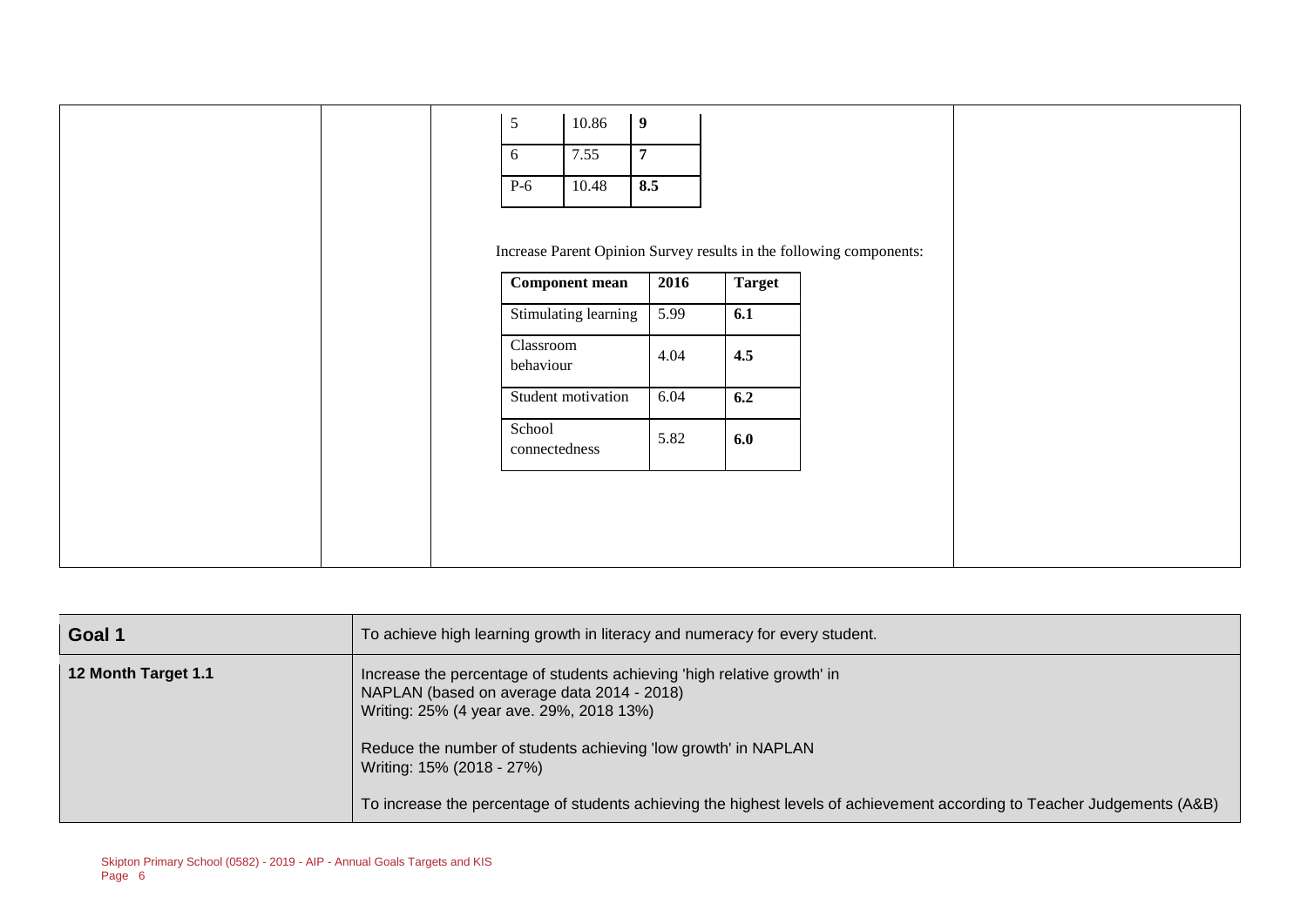| Goal 1              | To achieve high learning growth in literacy and numeracy for every student.                                                                                                                                                                                                                                                                                                                  |
|---------------------|----------------------------------------------------------------------------------------------------------------------------------------------------------------------------------------------------------------------------------------------------------------------------------------------------------------------------------------------------------------------------------------------|
| 12 Month Target 1.1 | Increase the percentage of students achieving 'high relative growth' in<br>NAPLAN (based on average data 2014 - 2018)<br>Writing: 25% (4 year ave. 29%, 2018 13%)<br>Reduce the number of students achieving 'low growth' in NAPLAN<br>Writing: 15% (2018 - 27%)<br>To increase the percentage of students achieving the highest levels of achievement according to Teacher Judgements (A&B) |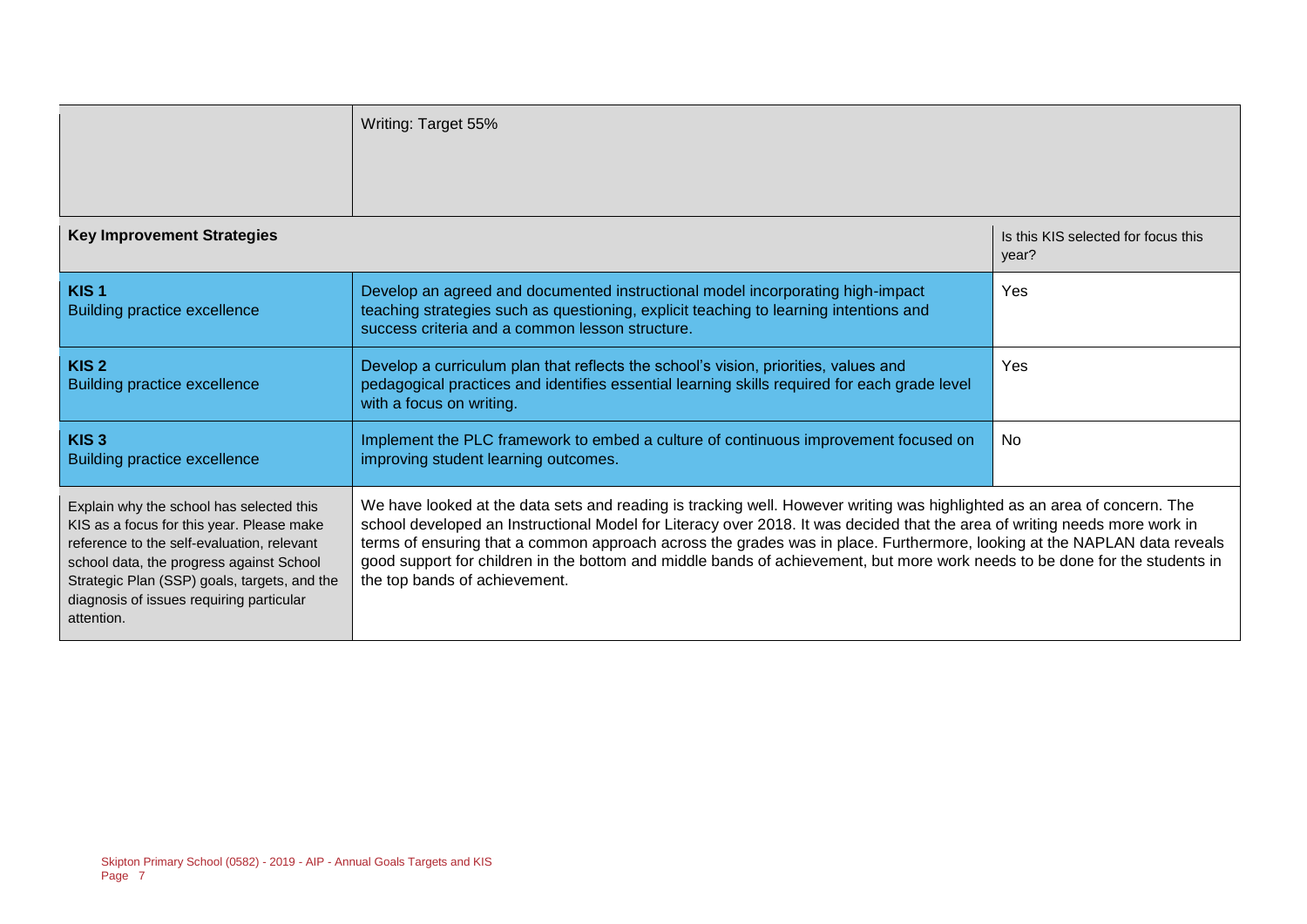|                                                                                                                                                                                                                                                                                           | Writing: Target 55%                                                                                                                                                                                                                                                                                                                                                                                                                                                                                                                                |                                              |
|-------------------------------------------------------------------------------------------------------------------------------------------------------------------------------------------------------------------------------------------------------------------------------------------|----------------------------------------------------------------------------------------------------------------------------------------------------------------------------------------------------------------------------------------------------------------------------------------------------------------------------------------------------------------------------------------------------------------------------------------------------------------------------------------------------------------------------------------------------|----------------------------------------------|
| <b>Key Improvement Strategies</b>                                                                                                                                                                                                                                                         |                                                                                                                                                                                                                                                                                                                                                                                                                                                                                                                                                    | Is this KIS selected for focus this<br>year? |
| KIS <sub>1</sub><br><b>Building practice excellence</b>                                                                                                                                                                                                                                   | Develop an agreed and documented instructional model incorporating high-impact<br>teaching strategies such as questioning, explicit teaching to learning intentions and<br>success criteria and a common lesson structure.                                                                                                                                                                                                                                                                                                                         | Yes                                          |
| KIS <sub>2</sub><br><b>Building practice excellence</b>                                                                                                                                                                                                                                   | Develop a curriculum plan that reflects the school's vision, priorities, values and<br>pedagogical practices and identifies essential learning skills required for each grade level<br>with a focus on writing.                                                                                                                                                                                                                                                                                                                                    | Yes                                          |
| KIS <sub>3</sub><br><b>Building practice excellence</b>                                                                                                                                                                                                                                   | Implement the PLC framework to embed a culture of continuous improvement focused on<br>improving student learning outcomes.                                                                                                                                                                                                                                                                                                                                                                                                                        | <b>No</b>                                    |
| Explain why the school has selected this<br>KIS as a focus for this year. Please make<br>reference to the self-evaluation, relevant<br>school data, the progress against School<br>Strategic Plan (SSP) goals, targets, and the<br>diagnosis of issues requiring particular<br>attention. | We have looked at the data sets and reading is tracking well. However writing was highlighted as an area of concern. The<br>school developed an Instructional Model for Literacy over 2018. It was decided that the area of writing needs more work in<br>terms of ensuring that a common approach across the grades was in place. Furthermore, looking at the NAPLAN data reveals<br>good support for children in the bottom and middle bands of achievement, but more work needs to be done for the students in<br>the top bands of achievement. |                                              |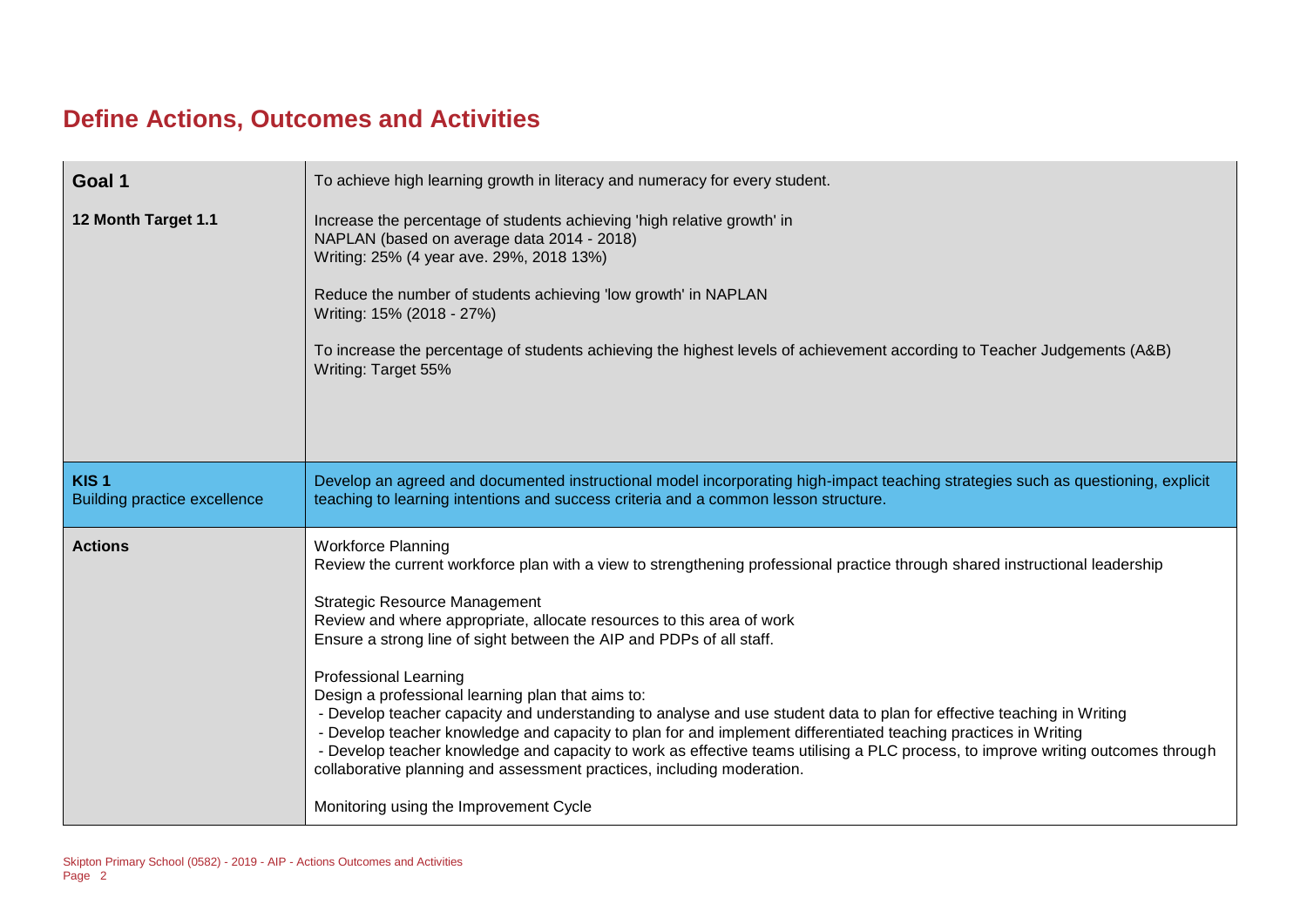### **Define Actions, Outcomes and Activities**

| Goal 1                                                  | To achieve high learning growth in literacy and numeracy for every student.                                                                                                                                                                                                                                                                                                                                                                                                                                                                                                                                                                                                                                                                                                                                                                                                                                                                  |
|---------------------------------------------------------|----------------------------------------------------------------------------------------------------------------------------------------------------------------------------------------------------------------------------------------------------------------------------------------------------------------------------------------------------------------------------------------------------------------------------------------------------------------------------------------------------------------------------------------------------------------------------------------------------------------------------------------------------------------------------------------------------------------------------------------------------------------------------------------------------------------------------------------------------------------------------------------------------------------------------------------------|
| 12 Month Target 1.1                                     | Increase the percentage of students achieving 'high relative growth' in<br>NAPLAN (based on average data 2014 - 2018)<br>Writing: 25% (4 year ave. 29%, 2018 13%)<br>Reduce the number of students achieving 'low growth' in NAPLAN<br>Writing: 15% (2018 - 27%)<br>To increase the percentage of students achieving the highest levels of achievement according to Teacher Judgements (A&B)<br>Writing: Target 55%                                                                                                                                                                                                                                                                                                                                                                                                                                                                                                                          |
| KIS <sub>1</sub><br><b>Building practice excellence</b> | Develop an agreed and documented instructional model incorporating high-impact teaching strategies such as questioning, explicit<br>teaching to learning intentions and success criteria and a common lesson structure.                                                                                                                                                                                                                                                                                                                                                                                                                                                                                                                                                                                                                                                                                                                      |
| <b>Actions</b>                                          | <b>Workforce Planning</b><br>Review the current workforce plan with a view to strengthening professional practice through shared instructional leadership<br><b>Strategic Resource Management</b><br>Review and where appropriate, allocate resources to this area of work<br>Ensure a strong line of sight between the AIP and PDPs of all staff.<br><b>Professional Learning</b><br>Design a professional learning plan that aims to:<br>- Develop teacher capacity and understanding to analyse and use student data to plan for effective teaching in Writing<br>- Develop teacher knowledge and capacity to plan for and implement differentiated teaching practices in Writing<br>- Develop teacher knowledge and capacity to work as effective teams utilising a PLC process, to improve writing outcomes through<br>collaborative planning and assessment practices, including moderation.<br>Monitoring using the Improvement Cycle |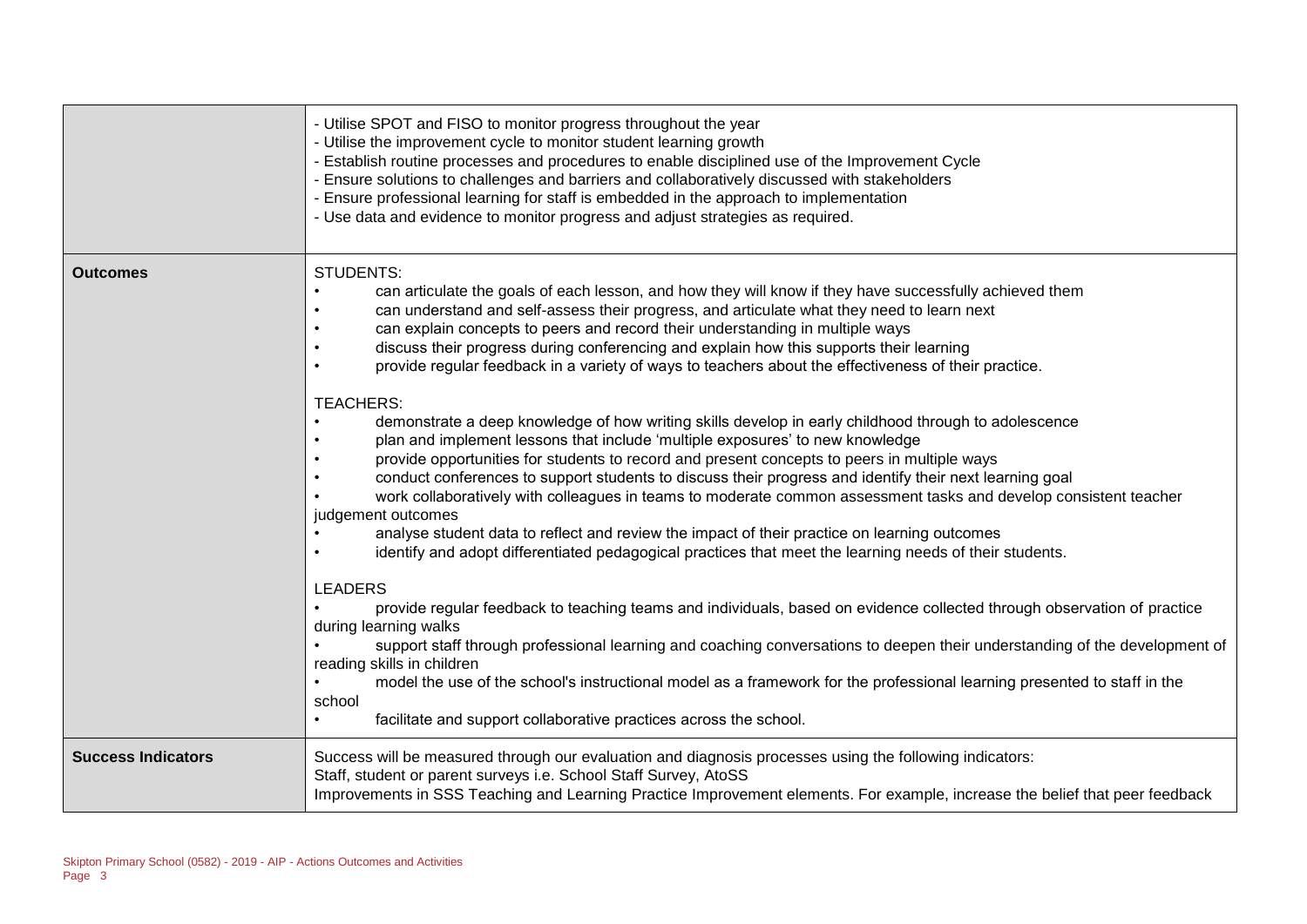|                           | - Utilise SPOT and FISO to monitor progress throughout the year<br>- Utilise the improvement cycle to monitor student learning growth<br>- Establish routine processes and procedures to enable disciplined use of the Improvement Cycle<br>- Ensure solutions to challenges and barriers and collaboratively discussed with stakeholders<br>- Ensure professional learning for staff is embedded in the approach to implementation<br>- Use data and evidence to monitor progress and adjust strategies as required.                                                                                                                                                                                                                                                                                                                                                                                                                                                                                                                                                                                                                                                                                                                                                                                                                                                                                                                                                                                                                                                                                                                                                                                                                                                                                                                  |
|---------------------------|----------------------------------------------------------------------------------------------------------------------------------------------------------------------------------------------------------------------------------------------------------------------------------------------------------------------------------------------------------------------------------------------------------------------------------------------------------------------------------------------------------------------------------------------------------------------------------------------------------------------------------------------------------------------------------------------------------------------------------------------------------------------------------------------------------------------------------------------------------------------------------------------------------------------------------------------------------------------------------------------------------------------------------------------------------------------------------------------------------------------------------------------------------------------------------------------------------------------------------------------------------------------------------------------------------------------------------------------------------------------------------------------------------------------------------------------------------------------------------------------------------------------------------------------------------------------------------------------------------------------------------------------------------------------------------------------------------------------------------------------------------------------------------------------------------------------------------------|
| <b>Outcomes</b>           | <b>STUDENTS:</b><br>can articulate the goals of each lesson, and how they will know if they have successfully achieved them<br>can understand and self-assess their progress, and articulate what they need to learn next<br>can explain concepts to peers and record their understanding in multiple ways<br>discuss their progress during conferencing and explain how this supports their learning<br>provide regular feedback in a variety of ways to teachers about the effectiveness of their practice.<br><b>TEACHERS:</b><br>demonstrate a deep knowledge of how writing skills develop in early childhood through to adolescence<br>plan and implement lessons that include 'multiple exposures' to new knowledge<br>provide opportunities for students to record and present concepts to peers in multiple ways<br>conduct conferences to support students to discuss their progress and identify their next learning goal<br>work collaboratively with colleagues in teams to moderate common assessment tasks and develop consistent teacher<br>judgement outcomes<br>analyse student data to reflect and review the impact of their practice on learning outcomes<br>identify and adopt differentiated pedagogical practices that meet the learning needs of their students.<br><b>LEADERS</b><br>provide regular feedback to teaching teams and individuals, based on evidence collected through observation of practice<br>during learning walks<br>support staff through professional learning and coaching conversations to deepen their understanding of the development of<br>reading skills in children<br>model the use of the school's instructional model as a framework for the professional learning presented to staff in the<br>school<br>facilitate and support collaborative practices across the school. |
| <b>Success Indicators</b> | Success will be measured through our evaluation and diagnosis processes using the following indicators:<br>Staff, student or parent surveys i.e. School Staff Survey, AtoSS<br>Improvements in SSS Teaching and Learning Practice Improvement elements. For example, increase the belief that peer feedback                                                                                                                                                                                                                                                                                                                                                                                                                                                                                                                                                                                                                                                                                                                                                                                                                                                                                                                                                                                                                                                                                                                                                                                                                                                                                                                                                                                                                                                                                                                            |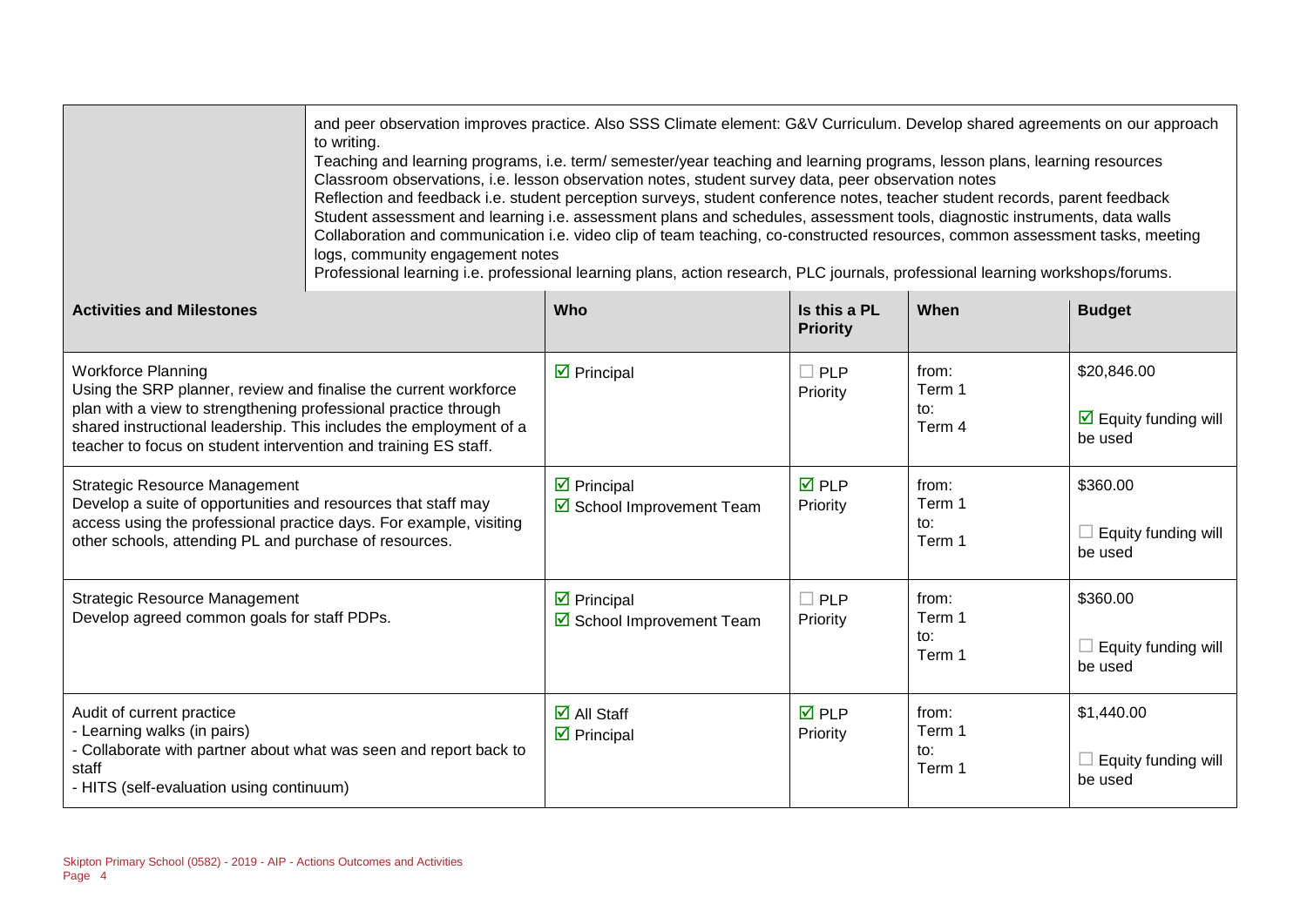|                                                                                                                                                                                                                                                                                                           | and peer observation improves practice. Also SSS Climate element: G&V Curriculum. Develop shared agreements on our approach<br>to writing.<br>Teaching and learning programs, i.e. term/ semester/year teaching and learning programs, lesson plans, learning resources<br>Classroom observations, i.e. lesson observation notes, student survey data, peer observation notes<br>Reflection and feedback i.e. student perception surveys, student conference notes, teacher student records, parent feedback<br>Student assessment and learning i.e. assessment plans and schedules, assessment tools, diagnostic instruments, data walls<br>Collaboration and communication i.e. video clip of team teaching, co-constructed resources, common assessment tasks, meeting<br>logs, community engagement notes<br>Professional learning i.e. professional learning plans, action research, PLC journals, professional learning workshops/forums. |                                                                 |                                 |                                  |                                                                       |  |  |  |  |
|-----------------------------------------------------------------------------------------------------------------------------------------------------------------------------------------------------------------------------------------------------------------------------------------------------------|-------------------------------------------------------------------------------------------------------------------------------------------------------------------------------------------------------------------------------------------------------------------------------------------------------------------------------------------------------------------------------------------------------------------------------------------------------------------------------------------------------------------------------------------------------------------------------------------------------------------------------------------------------------------------------------------------------------------------------------------------------------------------------------------------------------------------------------------------------------------------------------------------------------------------------------------------|-----------------------------------------------------------------|---------------------------------|----------------------------------|-----------------------------------------------------------------------|--|--|--|--|
| <b>Activities and Milestones</b>                                                                                                                                                                                                                                                                          |                                                                                                                                                                                                                                                                                                                                                                                                                                                                                                                                                                                                                                                                                                                                                                                                                                                                                                                                                 | Who                                                             | Is this a PL<br><b>Priority</b> | When                             | <b>Budget</b>                                                         |  |  |  |  |
| <b>Workforce Planning</b><br>Using the SRP planner, review and finalise the current workforce<br>plan with a view to strengthening professional practice through<br>shared instructional leadership. This includes the employment of a<br>teacher to focus on student intervention and training ES staff. |                                                                                                                                                                                                                                                                                                                                                                                                                                                                                                                                                                                                                                                                                                                                                                                                                                                                                                                                                 | $\triangleright$ Principal                                      | $\Box$ PLP<br>Priority          | from:<br>Term 1<br>to:<br>Term 4 | \$20,846.00<br>$\overline{\mathbf{y}}$ Equity funding will<br>be used |  |  |  |  |
| <b>Strategic Resource Management</b><br>Develop a suite of opportunities and resources that staff may<br>access using the professional practice days. For example, visiting<br>other schools, attending PL and purchase of resources.                                                                     |                                                                                                                                                                                                                                                                                                                                                                                                                                                                                                                                                                                                                                                                                                                                                                                                                                                                                                                                                 | $\triangleright$ Principal<br>School Improvement Team           | $\overline{M}$ PLP<br>Priority  | from:<br>Term 1<br>to:<br>Term 1 | \$360.00<br>$\Box$ Equity funding will<br>be used                     |  |  |  |  |
| <b>Strategic Resource Management</b><br>Develop agreed common goals for staff PDPs.                                                                                                                                                                                                                       |                                                                                                                                                                                                                                                                                                                                                                                                                                                                                                                                                                                                                                                                                                                                                                                                                                                                                                                                                 | $\boxtimes$ Principal<br>School Improvement Team                | $\Box$ PLP<br>Priority          | from:<br>Term 1<br>to:<br>Term 1 | \$360.00<br>$\Box$ Equity funding will<br>be used                     |  |  |  |  |
| Audit of current practice<br>- Learning walks (in pairs)<br>- Collaborate with partner about what was seen and report back to<br>staff<br>- HITS (self-evaluation using continuum)                                                                                                                        |                                                                                                                                                                                                                                                                                                                                                                                                                                                                                                                                                                                                                                                                                                                                                                                                                                                                                                                                                 | $\overline{\mathsf{M}}$ All Staff<br>$\triangleright$ Principal | $\overline{M}$ PLP<br>Priority  | from:<br>Term 1<br>to:<br>Term 1 | \$1,440.00<br>$\Box$ Equity funding will<br>be used                   |  |  |  |  |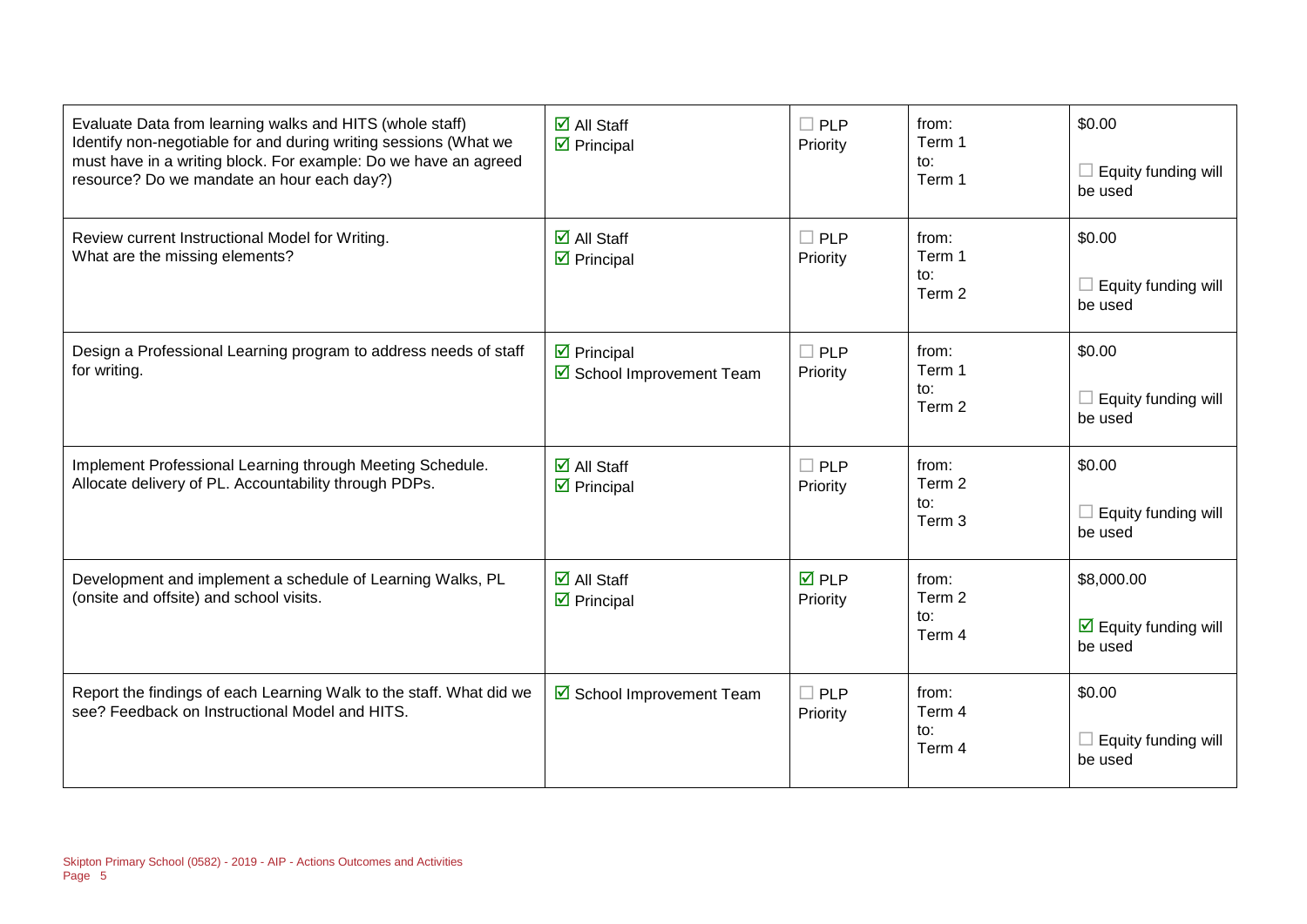| Evaluate Data from learning walks and HITS (whole staff)<br>Identify non-negotiable for and during writing sessions (What we<br>must have in a writing block. For example: Do we have an agreed<br>resource? Do we mandate an hour each day?) | $\overline{\mathsf{M}}$ All Staff<br>$\triangleright$ Principal | $\Box$ PLP<br>Priority   | from:<br>Term 1<br>to:<br>Term 1            | \$0.00<br>Equity funding will<br>be used                             |
|-----------------------------------------------------------------------------------------------------------------------------------------------------------------------------------------------------------------------------------------------|-----------------------------------------------------------------|--------------------------|---------------------------------------------|----------------------------------------------------------------------|
| Review current Instructional Model for Writing.<br>What are the missing elements?                                                                                                                                                             | $\overline{\mathsf{d}}$ All Staff<br>$\triangleright$ Principal | $\Box$ PLP<br>Priority   | from:<br>Term 1<br>to:<br>Term 2            | \$0.00<br>Equity funding will<br>be used                             |
| Design a Professional Learning program to address needs of staff<br>for writing.                                                                                                                                                              | $\triangleright$ Principal<br>School Improvement Team           | $\Box$ PLP<br>Priority   | from:<br>Term 1<br>to:<br>Term 2            | \$0.00<br>Equity funding will<br>be used                             |
| Implement Professional Learning through Meeting Schedule.<br>Allocate delivery of PL. Accountability through PDPs.                                                                                                                            | $\overline{\mathsf{M}}$ All Staff<br>$\triangleright$ Principal | $\Box$ PLP<br>Priority   | from:<br>Term 2<br>to:<br>Term <sub>3</sub> | \$0.00<br>Equity funding will<br>be used                             |
| Development and implement a schedule of Learning Walks, PL<br>(onsite and offsite) and school visits.                                                                                                                                         | $\boxtimes$ All Staff<br>$\triangleright$ Principal             | <b>☑</b> PLP<br>Priority | from:<br>Term 2<br>to:<br>Term 4            | \$8,000.00<br>$\overline{\mathbf{M}}$ Equity funding will<br>be used |
| Report the findings of each Learning Walk to the staff. What did we<br>see? Feedback on Instructional Model and HITS.                                                                                                                         | School Improvement Team                                         | $\Box$ PLP<br>Priority   | from:<br>Term 4<br>to:<br>Term 4            | \$0.00<br>Equity funding will<br>be used                             |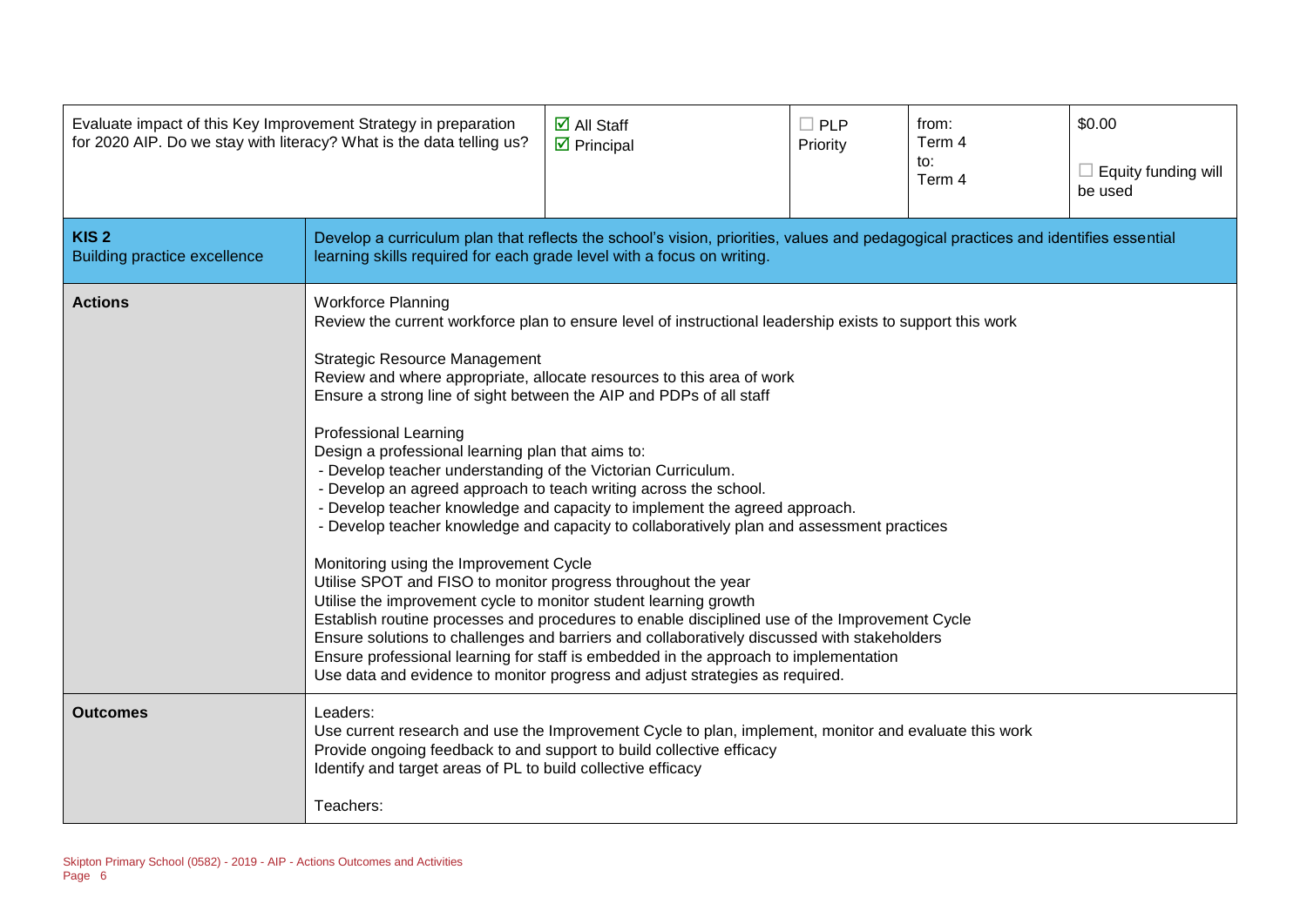| Evaluate impact of this Key Improvement Strategy in preparation<br>for 2020 AIP. Do we stay with literacy? What is the data telling us? |                                                                                                                                                                                                                                                                                                                                                                                                                                                                                                                                                  | $\overline{\mathbf{M}}$ All Staff<br>$\triangleright$ Principal                                                                                                                                                                                                                                                                                                                                                                                                                                                                                                                                                                                                                                                                       | $\Box$ PLP<br>Priority | from:<br>Term 4<br>to:<br>Term 4 | \$0.00<br>$\Box$ Equity funding will<br>be used |  |  |
|-----------------------------------------------------------------------------------------------------------------------------------------|--------------------------------------------------------------------------------------------------------------------------------------------------------------------------------------------------------------------------------------------------------------------------------------------------------------------------------------------------------------------------------------------------------------------------------------------------------------------------------------------------------------------------------------------------|---------------------------------------------------------------------------------------------------------------------------------------------------------------------------------------------------------------------------------------------------------------------------------------------------------------------------------------------------------------------------------------------------------------------------------------------------------------------------------------------------------------------------------------------------------------------------------------------------------------------------------------------------------------------------------------------------------------------------------------|------------------------|----------------------------------|-------------------------------------------------|--|--|
| KIS <sub>2</sub><br><b>Building practice excellence</b>                                                                                 |                                                                                                                                                                                                                                                                                                                                                                                                                                                                                                                                                  | Develop a curriculum plan that reflects the school's vision, priorities, values and pedagogical practices and identifies essential<br>learning skills required for each grade level with a focus on writing.                                                                                                                                                                                                                                                                                                                                                                                                                                                                                                                          |                        |                                  |                                                 |  |  |
| <b>Actions</b>                                                                                                                          | <b>Workforce Planning</b><br><b>Strategic Resource Management</b><br>Ensure a strong line of sight between the AIP and PDPs of all staff<br><b>Professional Learning</b><br>Design a professional learning plan that aims to:<br>- Develop teacher understanding of the Victorian Curriculum.<br>- Develop an agreed approach to teach writing across the school.<br>Monitoring using the Improvement Cycle<br>Utilise SPOT and FISO to monitor progress throughout the year<br>Utilise the improvement cycle to monitor student learning growth | Review the current workforce plan to ensure level of instructional leadership exists to support this work<br>Review and where appropriate, allocate resources to this area of work<br>- Develop teacher knowledge and capacity to implement the agreed approach.<br>- Develop teacher knowledge and capacity to collaboratively plan and assessment practices<br>Establish routine processes and procedures to enable disciplined use of the Improvement Cycle<br>Ensure solutions to challenges and barriers and collaboratively discussed with stakeholders<br>Ensure professional learning for staff is embedded in the approach to implementation<br>Use data and evidence to monitor progress and adjust strategies as required. |                        |                                  |                                                 |  |  |
| <b>Outcomes</b>                                                                                                                         | Leaders:<br>Use current research and use the Improvement Cycle to plan, implement, monitor and evaluate this work<br>Provide ongoing feedback to and support to build collective efficacy<br>Identify and target areas of PL to build collective efficacy<br>Teachers:                                                                                                                                                                                                                                                                           |                                                                                                                                                                                                                                                                                                                                                                                                                                                                                                                                                                                                                                                                                                                                       |                        |                                  |                                                 |  |  |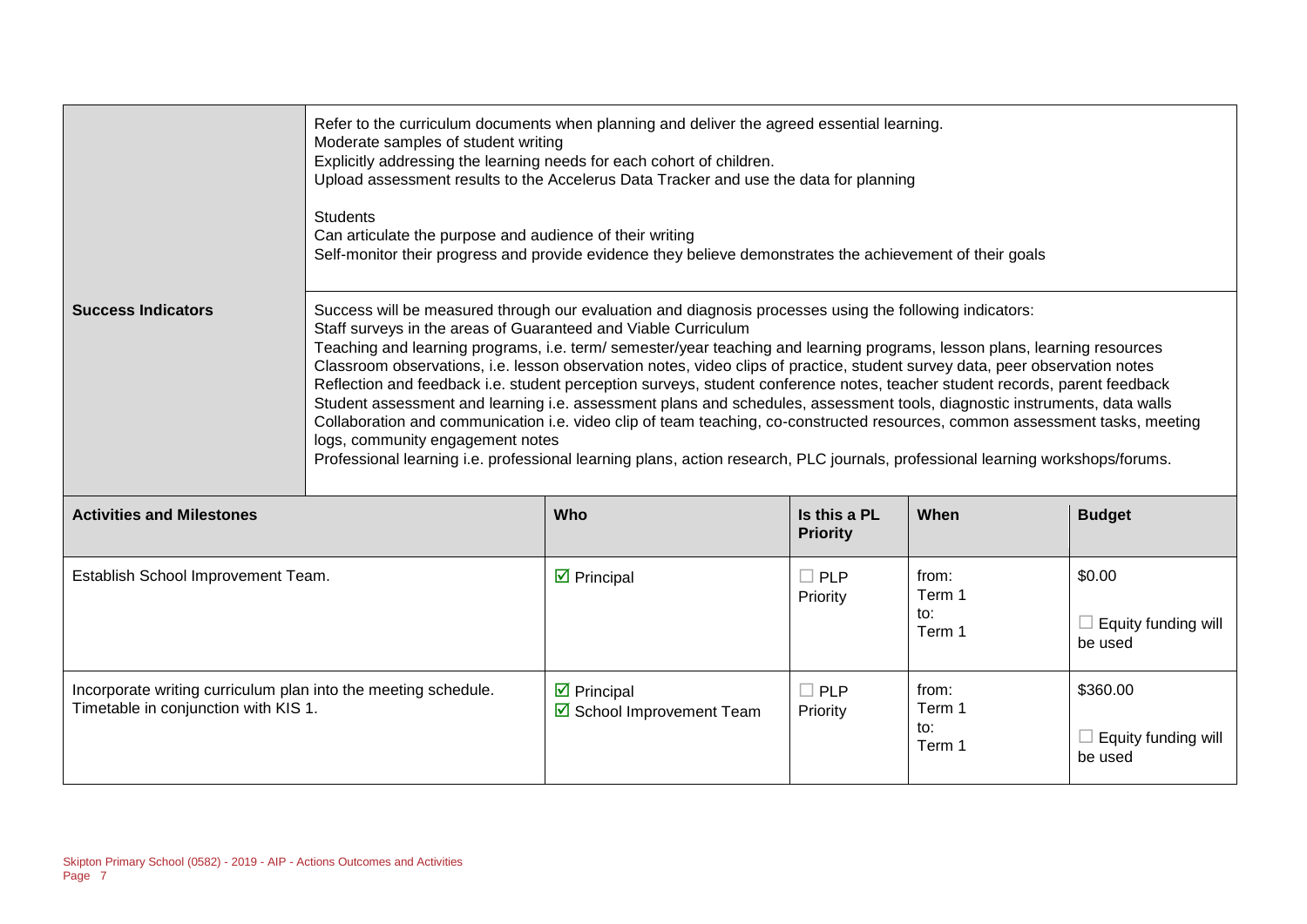|                                                                                                        | Refer to the curriculum documents when planning and deliver the agreed essential learning.<br>Moderate samples of student writing<br>Explicitly addressing the learning needs for each cohort of children.<br>Upload assessment results to the Accelerus Data Tracker and use the data for planning<br><b>Students</b><br>Can articulate the purpose and audience of their writing<br>Self-monitor their progress and provide evidence they believe demonstrates the achievement of their goals                                                                                                                                                                                                                                                                                                                                                                                                                                                                                                        |                                                              |                                 |                                  |                                                   |  |
|--------------------------------------------------------------------------------------------------------|--------------------------------------------------------------------------------------------------------------------------------------------------------------------------------------------------------------------------------------------------------------------------------------------------------------------------------------------------------------------------------------------------------------------------------------------------------------------------------------------------------------------------------------------------------------------------------------------------------------------------------------------------------------------------------------------------------------------------------------------------------------------------------------------------------------------------------------------------------------------------------------------------------------------------------------------------------------------------------------------------------|--------------------------------------------------------------|---------------------------------|----------------------------------|---------------------------------------------------|--|
| <b>Success Indicators</b>                                                                              | Success will be measured through our evaluation and diagnosis processes using the following indicators:<br>Staff surveys in the areas of Guaranteed and Viable Curriculum<br>Teaching and learning programs, i.e. term/semester/year teaching and learning programs, lesson plans, learning resources<br>Classroom observations, i.e. lesson observation notes, video clips of practice, student survey data, peer observation notes<br>Reflection and feedback i.e. student perception surveys, student conference notes, teacher student records, parent feedback<br>Student assessment and learning i.e. assessment plans and schedules, assessment tools, diagnostic instruments, data walls<br>Collaboration and communication i.e. video clip of team teaching, co-constructed resources, common assessment tasks, meeting<br>logs, community engagement notes<br>Professional learning i.e. professional learning plans, action research, PLC journals, professional learning workshops/forums. |                                                              |                                 |                                  |                                                   |  |
| <b>Activities and Milestones</b>                                                                       |                                                                                                                                                                                                                                                                                                                                                                                                                                                                                                                                                                                                                                                                                                                                                                                                                                                                                                                                                                                                        | Who                                                          | Is this a PL<br><b>Priority</b> | When                             | <b>Budget</b>                                     |  |
| Establish School Improvement Team.                                                                     |                                                                                                                                                                                                                                                                                                                                                                                                                                                                                                                                                                                                                                                                                                                                                                                                                                                                                                                                                                                                        | $\triangleright$ Principal                                   | $\Box$ PLP<br>Priority          | from:<br>Term 1<br>to:<br>Term 1 | \$0.00<br>$\Box$ Equity funding will<br>be used   |  |
| Incorporate writing curriculum plan into the meeting schedule.<br>Timetable in conjunction with KIS 1. |                                                                                                                                                                                                                                                                                                                                                                                                                                                                                                                                                                                                                                                                                                                                                                                                                                                                                                                                                                                                        | $\overline{\mathbf{z}}$ Principal<br>School Improvement Team | PLP<br>$\Box$<br>Priority       | from:<br>Term 1<br>to:<br>Term 1 | \$360.00<br>$\Box$ Equity funding will<br>be used |  |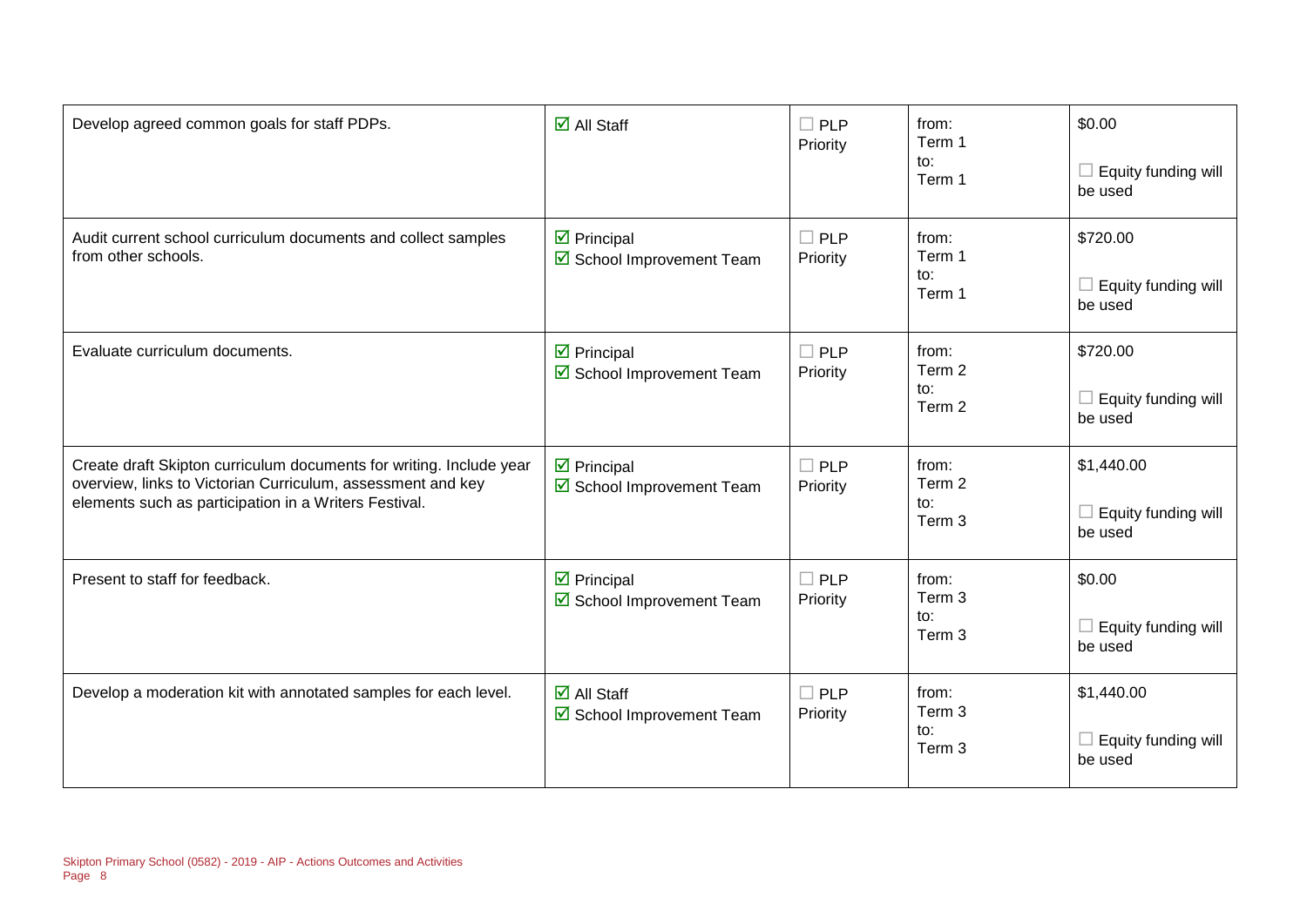| Develop agreed common goals for staff PDPs.                                                                                                                                                 | $\overline{\mathsf{d}}$ All Staff                            | $\Box$ PLP<br>Priority | from:<br>Term 1<br>to:<br>Term 1            | \$0.00<br>Equity funding will<br>be used        |
|---------------------------------------------------------------------------------------------------------------------------------------------------------------------------------------------|--------------------------------------------------------------|------------------------|---------------------------------------------|-------------------------------------------------|
| Audit current school curriculum documents and collect samples<br>from other schools.                                                                                                        | $\triangleright$ Principal<br>School Improvement Team        | $\Box$ PLP<br>Priority | from:<br>Term 1<br>to:<br>Term 1            | \$720.00<br>Equity funding will<br>be used      |
| Evaluate curriculum documents.                                                                                                                                                              | $\triangleright$ Principal<br>School Improvement Team        | $\Box$ PLP<br>Priority | from:<br>Term 2<br>to:<br>Term 2            | \$720.00<br>Equity funding will<br>be used      |
| Create draft Skipton curriculum documents for writing. Include year<br>overview, links to Victorian Curriculum, assessment and key<br>elements such as participation in a Writers Festival. | $\triangleright$ Principal<br>School Improvement Team        | $\Box$ PLP<br>Priority | from:<br>Term 2<br>to:<br>Term <sub>3</sub> | \$1,440.00<br>Equity funding will<br>be used    |
| Present to staff for feedback.                                                                                                                                                              | $\triangleright$ Principal<br>School Improvement Team        | $\Box$ PLP<br>Priority | from:<br>Term 3<br>to:<br>Term 3            | \$0.00<br>$\Box$ Equity funding will<br>be used |
| Develop a moderation kit with annotated samples for each level.                                                                                                                             | $\overline{\mathbf{M}}$ All Staff<br>School Improvement Team | $\Box$ PLP<br>Priority | from:<br>Term 3<br>to:<br>Term 3            | \$1,440.00<br>Equity funding will<br>be used    |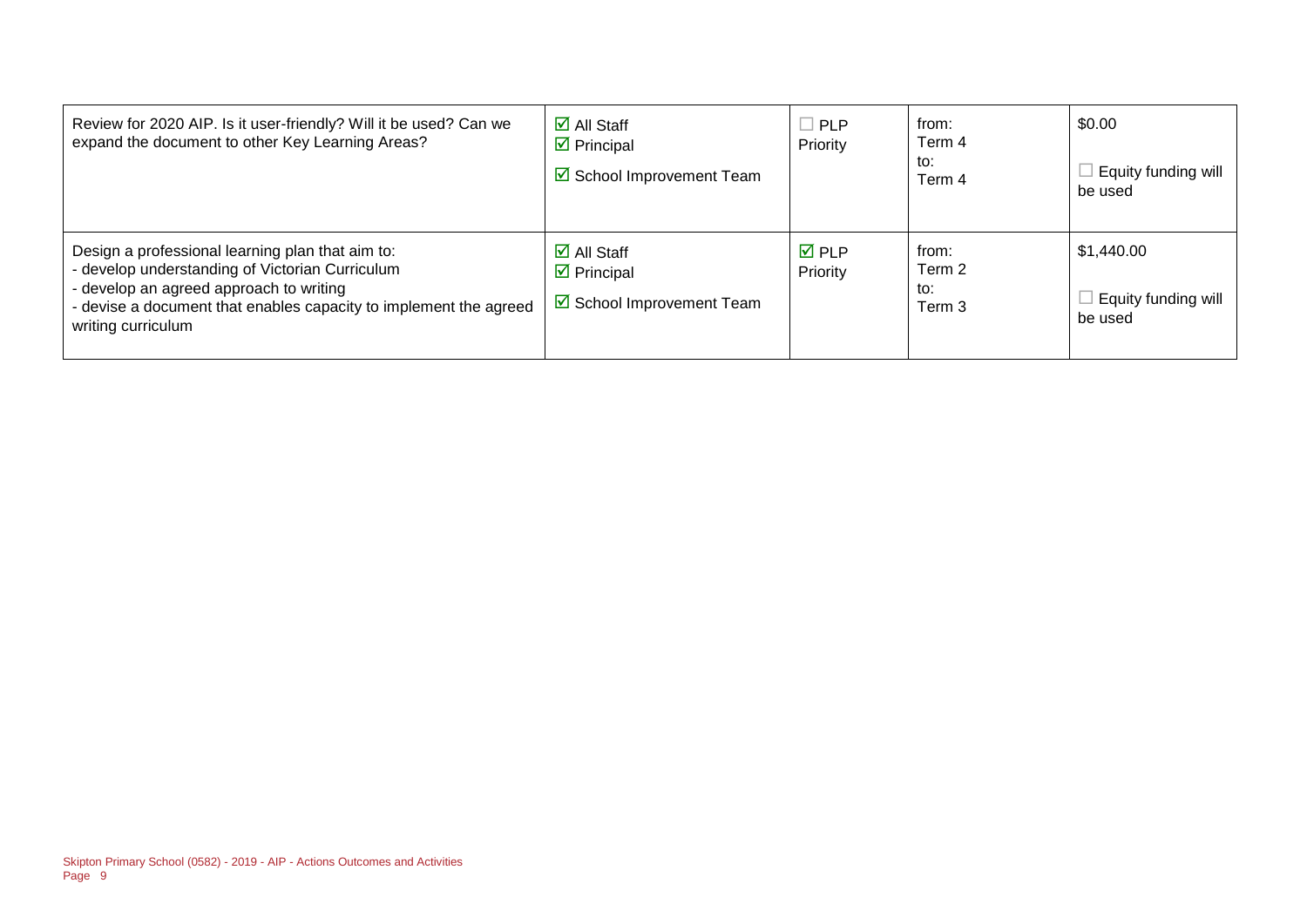| Review for 2020 AIP. Is it user-friendly? Will it be used? Can we<br>expand the document to other Key Learning Areas?                                                                                                                     | $\overline{\mathsf{d}}$ All Staff<br>$\triangledown$ Principal<br>School Improvement Team | $\square$ PLP<br>Priority | from:<br>Term 4<br>to:<br>Term 4 | \$0.00<br>Equity funding will<br>be used     |
|-------------------------------------------------------------------------------------------------------------------------------------------------------------------------------------------------------------------------------------------|-------------------------------------------------------------------------------------------|---------------------------|----------------------------------|----------------------------------------------|
| Design a professional learning plan that aim to:<br>- develop understanding of Victorian Curriculum<br>- develop an agreed approach to writing<br>- devise a document that enables capacity to implement the agreed<br>writing curriculum | $\overline{\mathsf{d}}$ All Staff<br>$\triangledown$ Principal<br>School Improvement Team | <b>☑</b> PLP<br>Priority  | from:<br>Term 2<br>to:<br>Term 3 | \$1,440.00<br>Equity funding will<br>be used |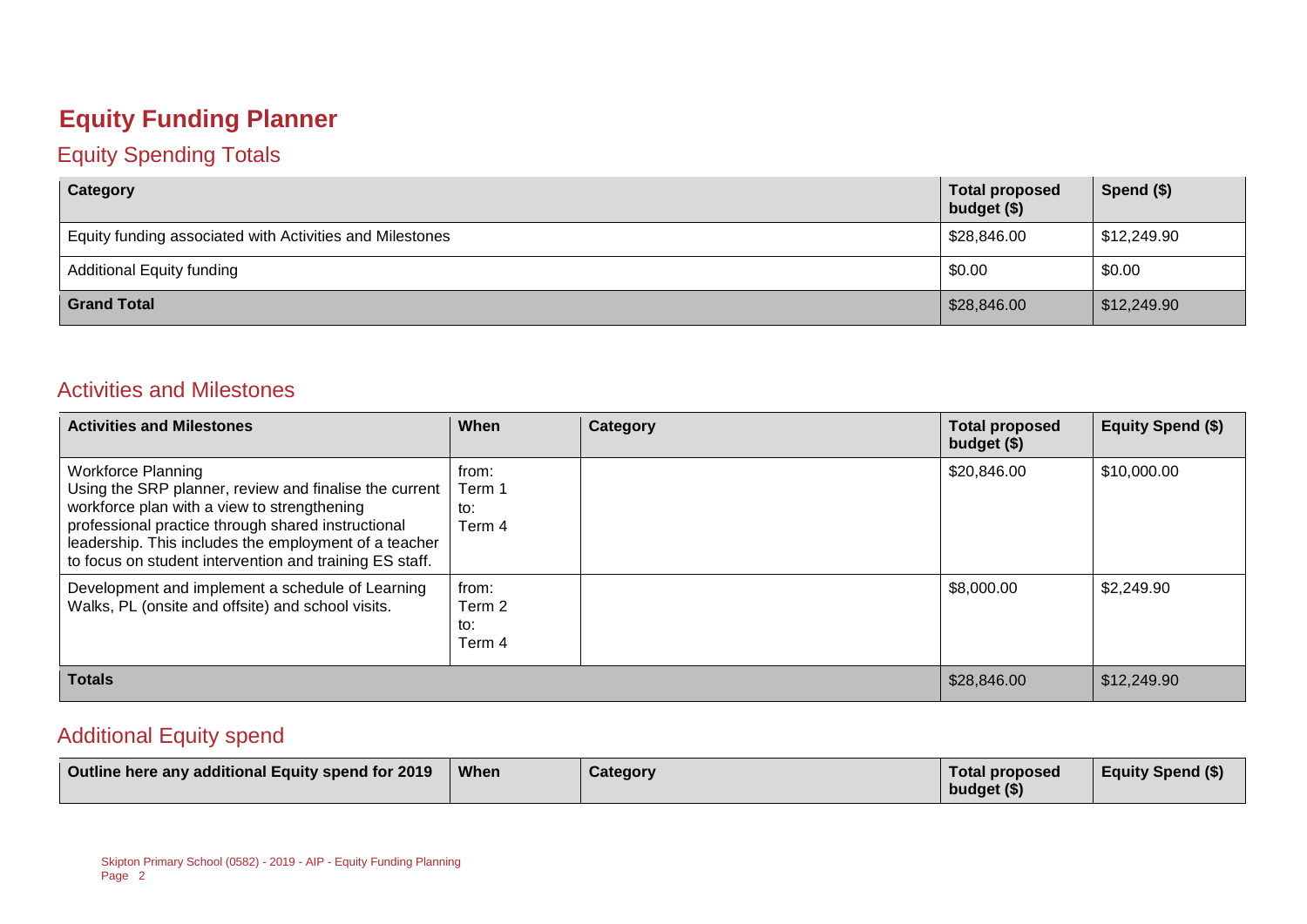#### **Equity Funding Planner**

#### Equity Spending Totals

| Category                                                 | <b>Total proposed</b><br>budget $($)$ | Spend $($)$ |
|----------------------------------------------------------|---------------------------------------|-------------|
| Equity funding associated with Activities and Milestones | \$28,846.00                           | \$12,249.90 |
| <b>Additional Equity funding</b>                         | \$0.00                                | \$0.00      |
| <b>Grand Total</b>                                       | \$28,846.00                           | \$12,249.90 |

#### Activities and Milestones

| <b>Activities and Milestones</b>                                                                                                                                                                                                                                                                             | When                             | Category | <b>Total proposed</b><br>budget $($)$ | Equity Spend (\$) |
|--------------------------------------------------------------------------------------------------------------------------------------------------------------------------------------------------------------------------------------------------------------------------------------------------------------|----------------------------------|----------|---------------------------------------|-------------------|
| <b>Workforce Planning</b><br>Using the SRP planner, review and finalise the current<br>workforce plan with a view to strengthening<br>professional practice through shared instructional<br>leadership. This includes the employment of a teacher<br>to focus on student intervention and training ES staff. | from:<br>Term 1<br>to:<br>Term 4 |          | \$20,846.00                           | \$10,000.00       |
| Development and implement a schedule of Learning<br>Walks, PL (onsite and offsite) and school visits.                                                                                                                                                                                                        | from:<br>Term 2<br>to:<br>Term 4 |          | \$8,000.00                            | \$2,249.90        |
| <b>Totals</b>                                                                                                                                                                                                                                                                                                |                                  |          | \$28,846.00                           | \$12,249.90       |

#### Additional Equity spend

| Outline here any additional Equity spend for 2019 | <b>When</b> | Category | Total proposed<br>budget (\$) | <b>Equity Spend (\$)</b> |
|---------------------------------------------------|-------------|----------|-------------------------------|--------------------------|
|---------------------------------------------------|-------------|----------|-------------------------------|--------------------------|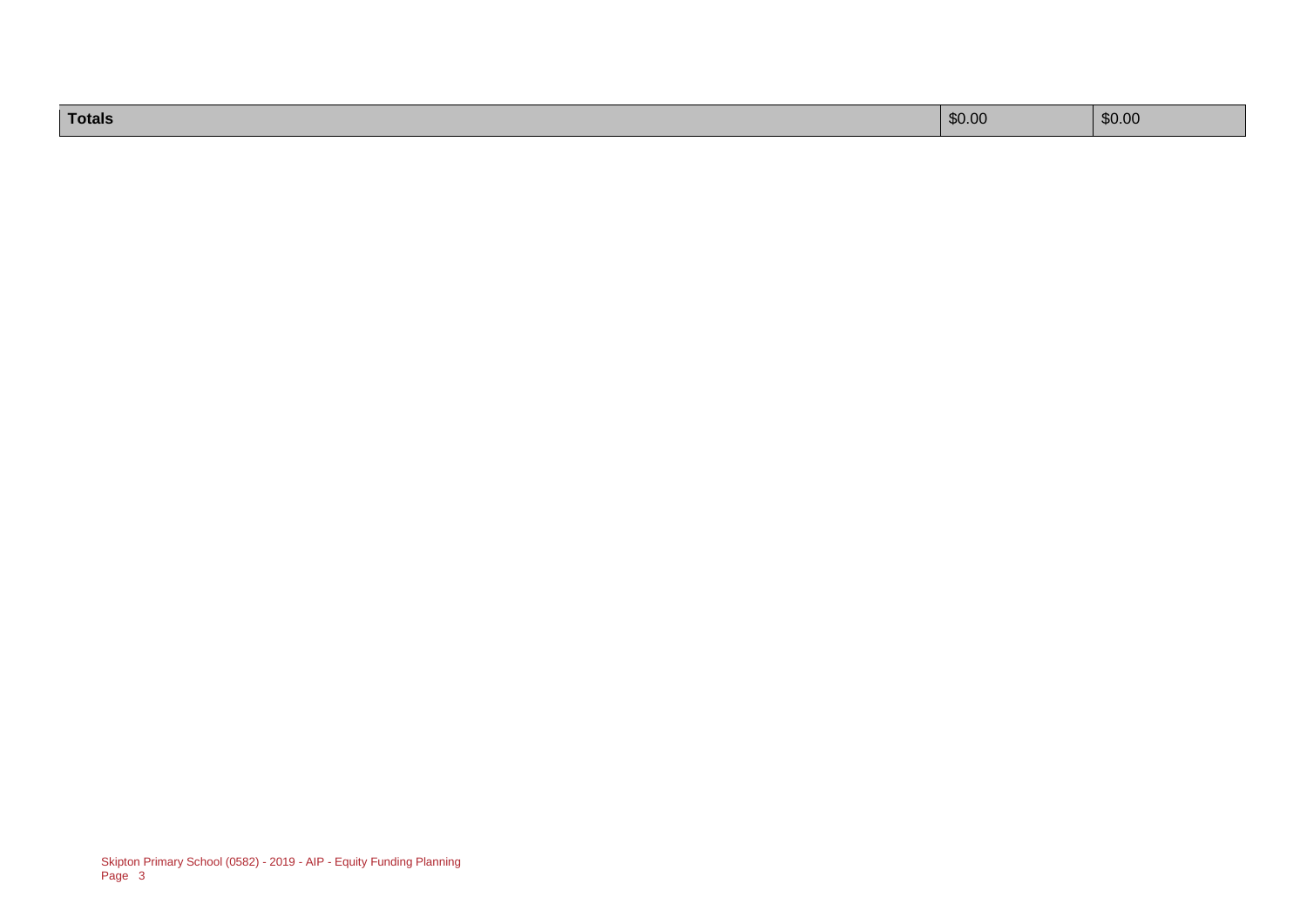| Totals | \$0.00 | ሶስ ሰስ<br>™∪.∪∿ |
|--------|--------|----------------|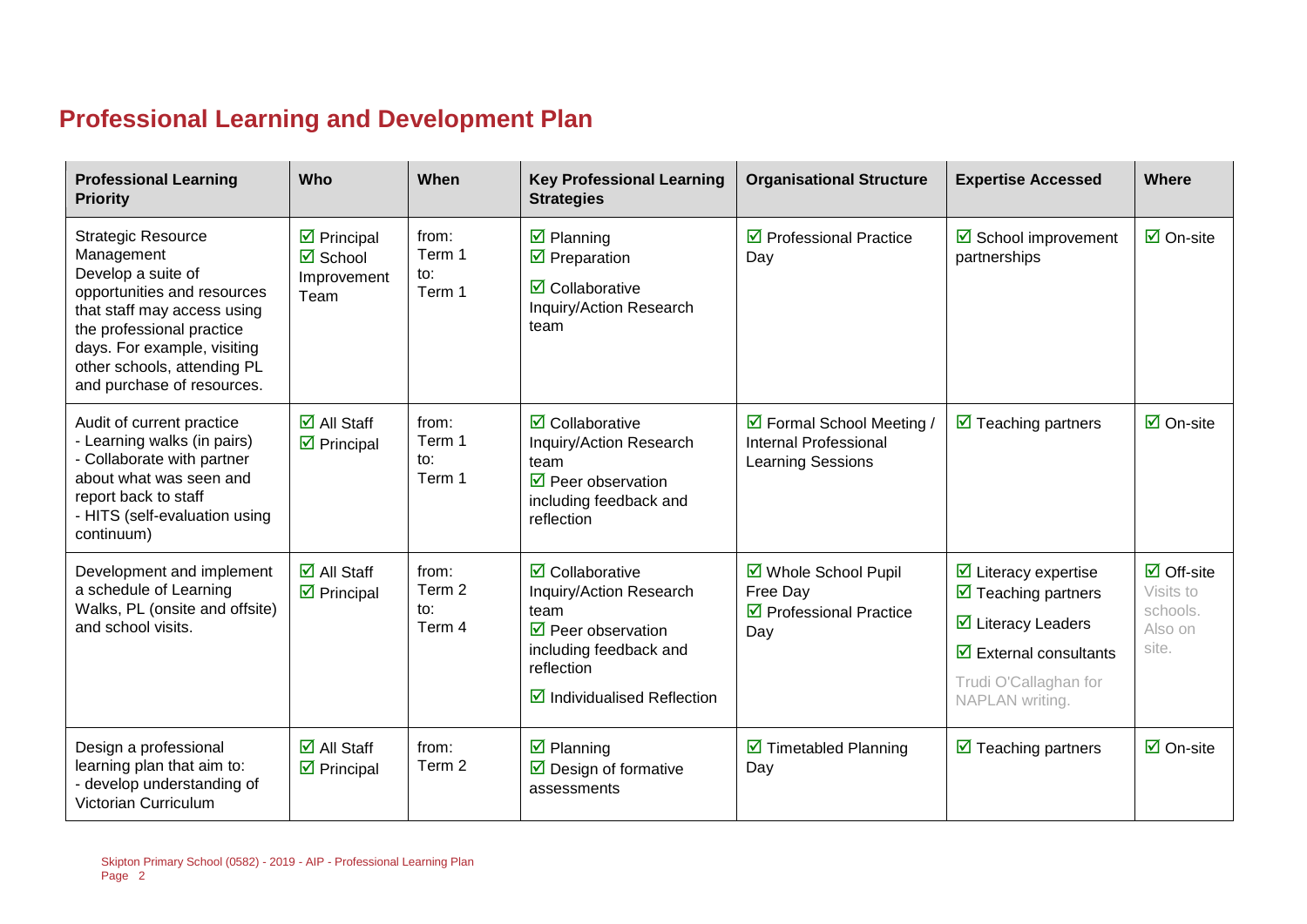### **Professional Learning and Development Plan**

| <b>Professional Learning</b><br><b>Priority</b>                                                                                                                                                                                                      | Who                                                                     | When                                         | <b>Key Professional Learning</b><br><b>Strategies</b>                                                                                                                                                     | <b>Organisational Structure</b>                                                       | <b>Expertise Accessed</b>                                                                                                                                                                                         | Where                                                                   |
|------------------------------------------------------------------------------------------------------------------------------------------------------------------------------------------------------------------------------------------------------|-------------------------------------------------------------------------|----------------------------------------------|-----------------------------------------------------------------------------------------------------------------------------------------------------------------------------------------------------------|---------------------------------------------------------------------------------------|-------------------------------------------------------------------------------------------------------------------------------------------------------------------------------------------------------------------|-------------------------------------------------------------------------|
| <b>Strategic Resource</b><br>Management<br>Develop a suite of<br>opportunities and resources<br>that staff may access using<br>the professional practice<br>days. For example, visiting<br>other schools, attending PL<br>and purchase of resources. | $\triangleright$ Principal<br>$\boxtimes$ School<br>Improvement<br>Team | from:<br>Term 1<br>to:<br>Term 1             | $\overline{\mathbf{z}}$ Planning<br>$\triangleright$ Preparation<br>$\overline{\mathbf{z}}$ Collaborative<br>Inquiry/Action Research<br>team                                                              | $\triangledown$ Professional Practice<br>Day                                          | ☑ School improvement<br>partnerships                                                                                                                                                                              | $\overline{\Box}$ On-site                                               |
| Audit of current practice<br>- Learning walks (in pairs)<br>- Collaborate with partner<br>about what was seen and<br>report back to staff<br>- HITS (self-evaluation using<br>continuum)                                                             | $\overline{\mathsf{M}}$ All Staff<br>$\triangleright$ Principal         | from:<br>Term 1<br>to:<br>Term 1             | $\overline{\mathbf{z}}$ Collaborative<br>Inquiry/Action Research<br>team<br>$\triangledown$ Peer observation<br>including feedback and<br>reflection                                                      | ☑ Formal School Meeting /<br><b>Internal Professional</b><br><b>Learning Sessions</b> | $\triangleright$ Teaching partners                                                                                                                                                                                | $\overline{\mathsf{M}}$ On-site                                         |
| Development and implement<br>a schedule of Learning<br>Walks, PL (onsite and offsite)<br>and school visits.                                                                                                                                          | $\overline{\mathsf{d}}$ All Staff<br>$\triangleright$ Principal         | from:<br>Term 2<br>$\mathsf{to}$ :<br>Term 4 | $\overline{\mathbf{z}}$ Collaborative<br>Inquiry/Action Research<br>team<br>$\overline{\mathbf{M}}$ Peer observation<br>including feedback and<br>reflection<br>$\triangledown$ Individualised Reflection | ☑ Whole School Pupil<br>Free Day<br>$\triangledown$ Professional Practice<br>Day      | $\triangleright$ Literacy expertise<br>$\triangleright$ Teaching partners<br>$\overline{\mathbf{z}}$ Literacy Leaders<br>$\overline{\mathbf{y}}$ External consultants<br>Trudi O'Callaghan for<br>NAPLAN writing. | $\overline{\Box}$ Off-site<br>Visits to<br>schools.<br>Also on<br>site. |
| Design a professional<br>learning plan that aim to:<br>- develop understanding of<br>Victorian Curriculum                                                                                                                                            | $\overline{\mathsf{d}}$ All Staff<br>$\triangleright$ Principal         | from:<br>Term 2                              | $\boxtimes$ Planning<br>$\triangleright$ Design of formative<br>assessments                                                                                                                               | $\triangleright$ Timetabled Planning<br>Day                                           | $\triangleright$ Teaching partners                                                                                                                                                                                | $\overline{\mathsf{M}}$ On-site                                         |